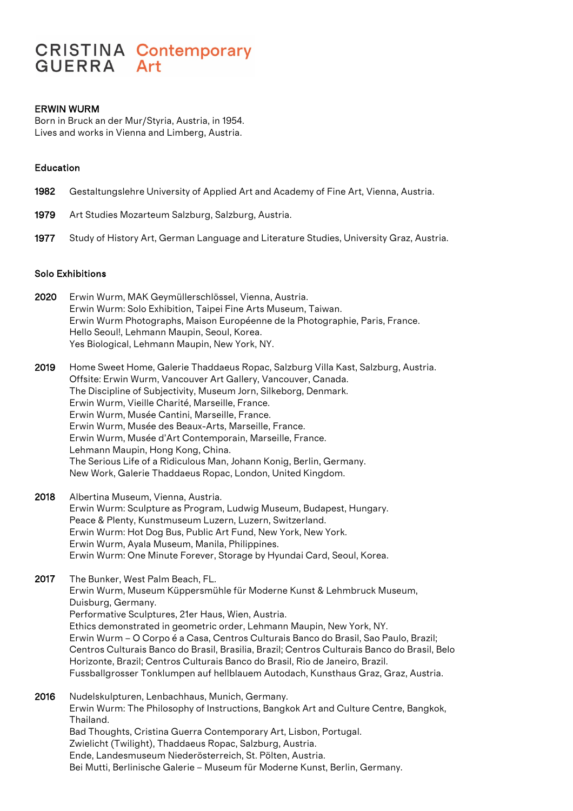# **CRISTINA Contemporary GUERRA** Art

## ERWIN WURM

Born in Bruck an der Mur/Styria, Austria, in 1954. Lives and works in Vienna and Limberg, Austria.

### Education

- 1982 Gestaltungslehre University of Applied Art and Academy of Fine Art, Vienna, Austria.
- 1979 Art Studies Mozarteum Salzburg, Salzburg, Austria.
- 1977 Study of History Art, German Language and Literature Studies, University Graz, Austria.

#### Solo Exhibitions

- 2020 Erwin Wurm, MAK Geymüllerschlössel, Vienna, Austria. Erwin Wurm: Solo Exhibition, Taipei Fine Arts Museum, Taiwan. Erwin Wurm Photographs, Maison Européenne de la Photographie, Paris, France. Hello Seoul!, Lehmann Maupin, Seoul, Korea. Yes Biological, Lehmann Maupin, New York, NY.
- 2019 Home Sweet Home, Galerie Thaddaeus Ropac, Salzburg Villa Kast, Salzburg, Austria. Offsite: Erwin Wurm, Vancouver Art Gallery, Vancouver, Canada. The Discipline of Subjectivity, Museum Jorn, Silkeborg, Denmark. Erwin Wurm, Vieille Charité, Marseille, France. Erwin Wurm, Musée Cantini, Marseille, France. Erwin Wurm, Musée des Beaux-Arts, Marseille, France. Erwin Wurm, Musée d'Art Contemporain, Marseille, France. Lehmann Maupin, Hong Kong, China. The Serious Life of a Ridiculous Man, Johann Konig, Berlin, Germany. New Work, Galerie Thaddaeus Ropac, London, United Kingdom.
- 2018 Albertina Museum, Vienna, Austria. Erwin Wurm: Sculpture as Program, Ludwig Museum, Budapest, Hungary. Peace & Plenty, Kunstmuseum Luzern, Luzern, Switzerland. Erwin Wurm: Hot Dog Bus, Public Art Fund, New York, New York. Erwin Wurm, Ayala Museum, Manila, Philippines. Erwin Wurm: One Minute Forever, Storage by Hyundai Card, Seoul, Korea.
- 2017 The Bunker, West Palm Beach, FL. Erwin Wurm, Museum Küppersmühle für Moderne Kunst & Lehmbruck Museum, Duisburg, Germany. Performative Sculptures, 21er Haus, Wien, Austria. Ethics demonstrated in geometric order, Lehmann Maupin, New York, NY. Erwin Wurm – O Corpo é a Casa, Centros Culturais Banco do Brasil, Sao Paulo, Brazil; Centros Culturais Banco do Brasil, Brasilia, Brazil; Centros Culturais Banco do Brasil, Belo Horizonte, Brazil; Centros Culturais Banco do Brasil, Rio de Janeiro, Brazil. Fussballgrosser Tonklumpen auf hellblauem Autodach, Kunsthaus Graz, Graz, Austria.
- 2016 Nudelskulpturen, Lenbachhaus, Munich, Germany. Erwin Wurm: The Philosophy of Instructions, Bangkok Art and Culture Centre, Bangkok, Thailand. Bad Thoughts, Cristina Guerra Contemporary Art, Lisbon, Portugal. Zwielicht (Twilight), Thaddaeus Ropac, Salzburg, Austria. Ende, Landesmuseum Niederösterreich, St. Pölten, Austria. Bei Mutti, Berlinische Galerie – Museum für Moderne Kunst, Berlin, Germany.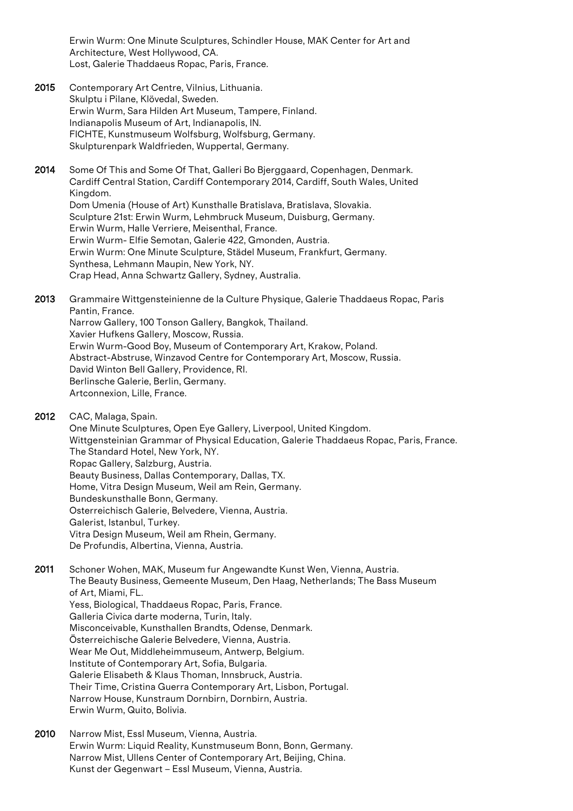Erwin Wurm: One Minute Sculptures, Schindler House, MAK Center for Art and Architecture, West Hollywood, CA. Lost, Galerie Thaddaeus Ropac, Paris, France.

- 2015 Contemporary Art Centre, Vilnius, Lithuania. Skulptu i Pilane, Klövedal, Sweden. Erwin Wurm, Sara Hilden Art Museum, Tampere, Finland. Indianapolis Museum of Art, Indianapolis, IN. FICHTE, Kunstmuseum Wolfsburg, Wolfsburg, Germany. Skulpturenpark Waldfrieden, Wuppertal, Germany.
- 2014 Some Of This and Some Of That, Galleri Bo Bierggaard, Copenhagen, Denmark. Cardiff Central Station, Cardiff Contemporary 2014, Cardiff, South Wales, United Kingdom. Dom Umenia (House of Art) Kunsthalle Bratislava, Bratislava, Slovakia. Sculpture 21st: Erwin Wurm, Lehmbruck Museum, Duisburg, Germany. Erwin Wurm, Halle Verriere, Meisenthal, France. Erwin Wurm- Elfie Semotan, Galerie 422, Gmonden, Austria. Erwin Wurm: One Minute Sculpture, Städel Museum, Frankfurt, Germany. Synthesa, Lehmann Maupin, New York, NY. Crap Head, Anna Schwartz Gallery, Sydney, Australia.

2013 Grammaire Wittgensteinienne de la Culture Physique, Galerie Thaddaeus Ropac, Paris Pantin, France. Narrow Gallery, 100 Tonson Gallery, Bangkok, Thailand. Xavier Hufkens Gallery, Moscow, Russia. Erwin Wurm-Good Boy, Museum of Contemporary Art, Krakow, Poland. Abstract-Abstruse, Winzavod Centre for Contemporary Art, Moscow, Russia. David Winton Bell Gallery, Providence, RI. Berlinsche Galerie, Berlin, Germany. Artconnexion, Lille, France.

2012 CAC, Malaga, Spain.

One Minute Sculptures, Open Eye Gallery, Liverpool, United Kingdom. Wittgensteinian Grammar of Physical Education, Galerie Thaddaeus Ropac, Paris, France. The Standard Hotel, New York, NY. Ropac Gallery, Salzburg, Austria. Beauty Business, Dallas Contemporary, Dallas, TX. Home, Vitra Design Museum, Weil am Rein, Germany. Bundeskunsthalle Bonn, Germany. Osterreichisch Galerie, Belvedere, Vienna, Austria. Galerist, Istanbul, Turkey. Vitra Design Museum, Weil am Rhein, Germany. De Profundis, Albertina, Vienna, Austria.

2011 Schoner Wohen, MAK, Museum fur Angewandte Kunst Wen, Vienna, Austria. The Beauty Business, Gemeente Museum, Den Haag, Netherlands; The Bass Museum of Art, Miami, FL. Yess, Biological, Thaddaeus Ropac, Paris, France. Galleria Civica darte moderna, Turin, Italy. Misconceivable, Kunsthallen Brandts, Odense, Denmark. Österreichische Galerie Belvedere, Vienna, Austria. Wear Me Out, Middleheimmuseum, Antwerp, Belgium. Institute of Contemporary Art, Sofia, Bulgaria. Galerie Elisabeth & Klaus Thoman, Innsbruck, Austria. Their Time, Cristina Guerra Contemporary Art, Lisbon, Portugal. Narrow House, Kunstraum Dornbirn, Dornbirn, Austria. Erwin Wurm, Quito, Bolivia.

2010 Narrow Mist, Essl Museum, Vienna, Austria. Erwin Wurm: Liquid Reality, Kunstmuseum Bonn, Bonn, Germany. Narrow Mist, Ullens Center of Contemporary Art, Beijing, China. Kunst der Gegenwart – Essl Museum, Vienna, Austria.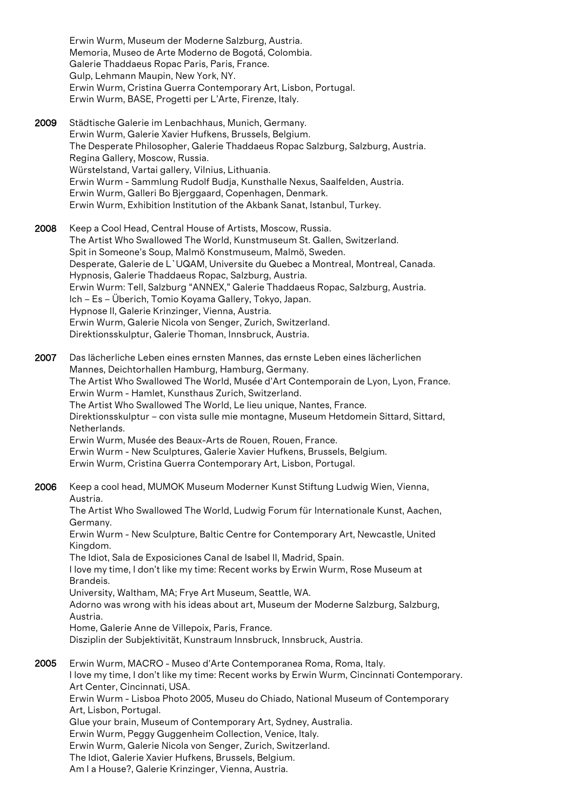Erwin Wurm, Museum der Moderne Salzburg, Austria. Memoria, Museo de Arte Moderno de Bogotá, Colombia. Galerie Thaddaeus Ropac Paris, Paris, France. Gulp, Lehmann Maupin, New York, NY. Erwin Wurm, Cristina Guerra Contemporary Art, Lisbon, Portugal. Erwin Wurm, BASE, Progetti per L'Arte, Firenze, Italy.

2009 Städtische Galerie im Lenbachhaus, Munich, Germany. Erwin Wurm, Galerie Xavier Hufkens, Brussels, Belgium. The Desperate Philosopher, Galerie Thaddaeus Ropac Salzburg, Salzburg, Austria. Regina Gallery, Moscow, Russia. Würstelstand, Vartai gallery, Vilnius, Lithuania. Erwin Wurm - Sammlung Rudolf Budja, Kunsthalle Nexus, Saalfelden, Austria. Erwin Wurm, Galleri Bo Bjerggaard, Copenhagen, Denmark. Erwin Wurm, Exhibition Institution of the Akbank Sanat, Istanbul, Turkey.

2008 Keep a Cool Head, Central House of Artists, Moscow, Russia. The Artist Who Swallowed The World, Kunstmuseum St. Gallen, Switzerland. Spit in Someone's Soup, Malmö Konstmuseum, Malmö, Sweden. Desperate, Galerie de L`UQAM, Universite du Quebec a Montreal, Montreal, Canada. Hypnosis, Galerie Thaddaeus Ropac, Salzburg, Austria. Erwin Wurm: Tell, Salzburg "ANNEX," Galerie Thaddaeus Ropac, Salzburg, Austria. Ich – Es – Überich, Tomio Koyama Gallery, Tokyo, Japan. Hypnose II, Galerie Krinzinger, Vienna, Austria. Erwin Wurm, Galerie Nicola von Senger, Zurich, Switzerland. Direktionsskulptur, Galerie Thoman, Innsbruck, Austria.

2007 Das lächerliche Leben eines ernsten Mannes, das ernste Leben eines lächerlichen Mannes, Deichtorhallen Hamburg, Hamburg, Germany. The Artist Who Swallowed The World, Musée d'Art Contemporain de Lyon, Lyon, France. Erwin Wurm - Hamlet, Kunsthaus Zurich, Switzerland. The Artist Who Swallowed The World, Le lieu unique, Nantes, France. Direktionsskulptur – con vista sulle mie montagne, Museum Hetdomein Sittard, Sittard, Netherlands. Erwin Wurm, Musée des Beaux-Arts de Rouen, Rouen, France. Erwin Wurm - New Sculptures, Galerie Xavier Hufkens, Brussels, Belgium. Erwin Wurm, Cristina Guerra Contemporary Art, Lisbon, Portugal.

2006 Keep a cool head, MUMOK Museum Moderner Kunst Stiftung Ludwig Wien, Vienna, Austria.

The Artist Who Swallowed The World, Ludwig Forum für Internationale Kunst, Aachen, Germany.

Erwin Wurm - New Sculpture, Baltic Centre for Contemporary Art, Newcastle, United Kingdom.

The Idiot, Sala de Exposiciones Canal de Isabel II, Madrid, Spain.

I love my time, I don't like my time: Recent works by Erwin Wurm, Rose Museum at Brandeis.

University, Waltham, MA; Frye Art Museum, Seattle, WA.

Adorno was wrong with his ideas about art, Museum der Moderne Salzburg, Salzburg, Austria.

Home, Galerie Anne de Villepoix, Paris, France.

Disziplin der Subjektivität, Kunstraum Innsbruck, Innsbruck, Austria.

2005 Erwin Wurm, MACRO - Museo d'Arte Contemporanea Roma, Roma, Italy. I love my time, I don't like my time: Recent works by Erwin Wurm, Cincinnati Contemporary. Art Center, Cincinnati, USA. Erwin Wurm - Lisboa Photo 2005, Museu do Chiado, National Museum of Contemporary Art, Lisbon, Portugal. Glue your brain, Museum of Contemporary Art, Sydney, Australia. Erwin Wurm, Peggy Guggenheim Collection, Venice, Italy.

Erwin Wurm, Galerie Nicola von Senger, Zurich, Switzerland.

The Idiot, Galerie Xavier Hufkens, Brussels, Belgium.

Am I a House?, Galerie Krinzinger, Vienna, Austria.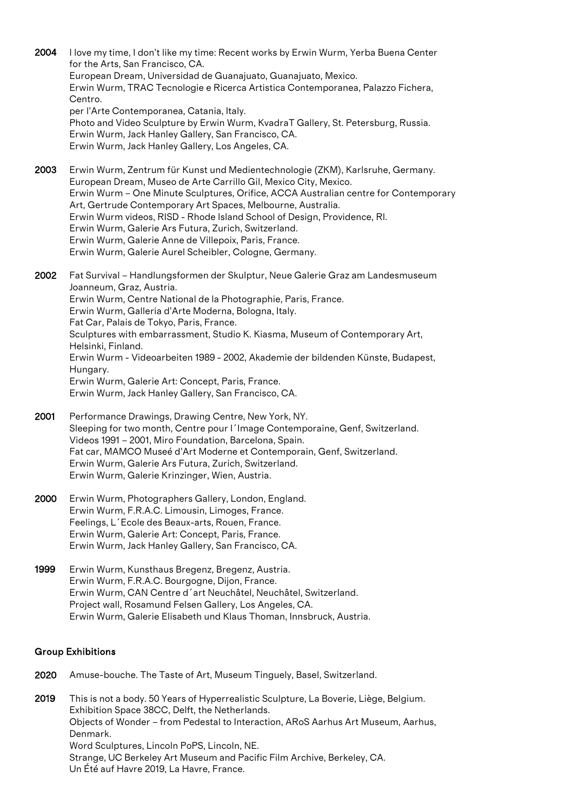2004 I love my time, I don't like my time: Recent works by Erwin Wurm, Yerba Buena Center for the Arts, San Francisco, CA. European Dream, Universidad de Guanajuato, Guanajuato, Mexico. Erwin Wurm, TRAC Tecnologie e Ricerca Artistica Contemporanea, Palazzo Fichera, Centro. per l'Arte Contemporanea, Catania, Italy. Photo and Video Sculpture by Erwin Wurm, KvadraT Gallery, St. Petersburg, Russia. Erwin Wurm, Jack Hanley Gallery, San Francisco, CA. Erwin Wurm, Jack Hanley Gallery, Los Angeles, CA. 2003 Erwin Wurm, Zentrum für Kunst und Medientechnologie (ZKM), Karlsruhe, Germany. European Dream, Museo de Arte Carrillo Gil, Mexico City, Mexico. Erwin Wurm – One Minute Sculptures, Orifice, ACCA Australian centre for Contemporary Art, Gertrude Contemporary Art Spaces, Melbourne, Australia. Erwin Wurm videos, RISD - Rhode Island School of Design, Providence, RI. Erwin Wurm, Galerie Ars Futura, Zurich, Switzerland. Erwin Wurm, Galerie Anne de Villepoix, Paris, France. Erwin Wurm, Galerie Aurel Scheibler, Cologne, Germany. 2002 Fat Survival – Handlungsformen der Skulptur, Neue Galerie Graz am Landesmuseum Joanneum, Graz, Austria. Erwin Wurm, Centre National de la Photographie, Paris, France. Erwin Wurm, Galleria d'Arte Moderna, Bologna, Italy. Fat Car, Palais de Tokyo, Paris, France. Sculptures with embarrassment, Studio K. Kiasma, Museum of Contemporary Art, Helsinki, Finland. Erwin Wurm - Videoarbeiten 1989 - 2002, Akademie der bildenden Künste, Budapest, Hungary. Erwin Wurm, Galerie Art: Concept, Paris, France.

Erwin Wurm, Jack Hanley Gallery, San Francisco, CA.

- 2001 Performance Drawings, Drawing Centre, New York, NY. Sleeping for two month, Centre pour l´Image Contemporaine, Genf, Switzerland. Videos 1991 – 2001, Miro Foundation, Barcelona, Spain. Fat car, MAMCO Museé d'Art Moderne et Contemporain, Genf, Switzerland. Erwin Wurm, Galerie Ars Futura, Zurich, Switzerland. Erwin Wurm, Galerie Krinzinger, Wien, Austria.
- 2000 Erwin Wurm, Photographers Gallery, London, England. Erwin Wurm, F.R.A.C. Limousin, Limoges, France. Feelings, L´Ecole des Beaux-arts, Rouen, France. Erwin Wurm, Galerie Art: Concept, Paris, France. Erwin Wurm, Jack Hanley Gallery, San Francisco, CA.
- 1999 Erwin Wurm, Kunsthaus Bregenz, Bregenz, Austria. Erwin Wurm, F.R.A.C. Bourgogne, Dijon, France. Erwin Wurm, CAN Centre d´art Neuchâtel, Neuchâtel, Switzerland. Project wall, Rosamund Felsen Gallery, Los Angeles, CA. Erwin Wurm, Galerie Elisabeth und Klaus Thoman, Innsbruck, Austria.

# Group Exhibitions

- 2020 Amuse-bouche. The Taste of Art, Museum Tinguely, Basel, Switzerland.
- 2019 This is not a body. 50 Years of Hyperrealistic Sculpture, La Boverie, Liège, Belgium. Exhibition Space 38CC, Delft, the Netherlands. Objects of Wonder – from Pedestal to Interaction, ARoS Aarhus Art Museum, Aarhus, Denmark. Word Sculptures, Lincoln PoPS, Lincoln, NE. Strange, UC Berkeley Art Museum and Pacific Film Archive, Berkeley, CA. Un Été auf Havre 2019, La Havre, France.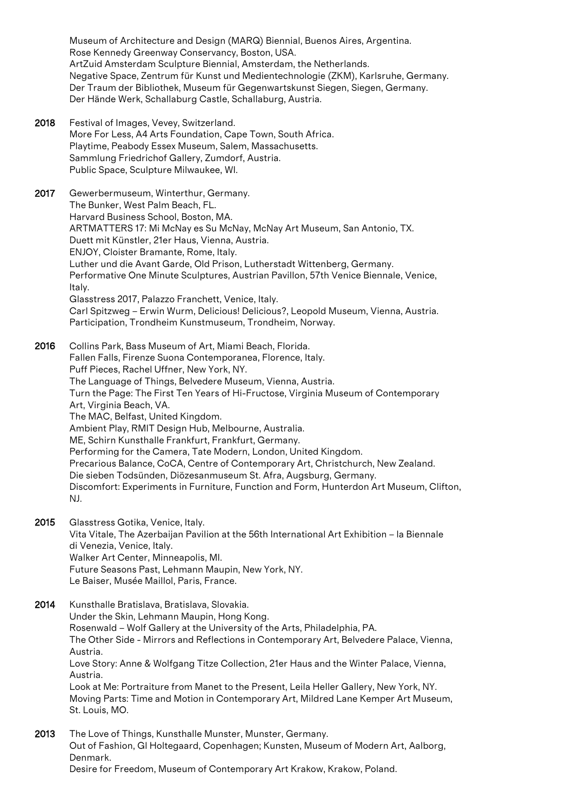Museum of Architecture and Design (MARQ) Biennial, Buenos Aires, Argentina. Rose Kennedy Greenway Conservancy, Boston, USA. ArtZuid Amsterdam Sculpture Biennial, Amsterdam, the Netherlands. Negative Space, Zentrum für Kunst und Medientechnologie (ZKM), Karlsruhe, Germany. Der Traum der Bibliothek, Museum für Gegenwartskunst Siegen, Siegen, Germany. Der Hände Werk, Schallaburg Castle, Schallaburg, Austria.

2018 Festival of Images, Vevey, Switzerland. More For Less, A4 Arts Foundation, Cape Town, South Africa. Playtime, Peabody Essex Museum, Salem, Massachusetts. Sammlung Friedrichof Gallery, Zumdorf, Austria. Public Space, Sculpture Milwaukee, WI.

2017 Gewerbermuseum, Winterthur, Germany. The Bunker, West Palm Beach, FL. Harvard Business School, Boston, MA. ARTMATTERS 17: Mi McNay es Su McNay, McNay Art Museum, San Antonio, TX. Duett mit Künstler, 21er Haus, Vienna, Austria. ENJOY, Cloister Bramante, Rome, Italy. Luther und die Avant Garde, Old Prison, Lutherstadt Wittenberg, Germany. Performative One Minute Sculptures, Austrian Pavillon, 57th Venice Biennale, Venice, Italy. Glasstress 2017, Palazzo Franchett, Venice, Italy. Carl Spitzweg – Erwin Wurm, Delicious! Delicious?, Leopold Museum, Vienna, Austria. Participation, Trondheim Kunstmuseum, Trondheim, Norway.

2016 Collins Park, Bass Museum of Art, Miami Beach, Florida. Fallen Falls, Firenze Suona Contemporanea, Florence, Italy. Puff Pieces, Rachel Uffner, New York, NY. The Language of Things, Belvedere Museum, Vienna, Austria. Turn the Page: The First Ten Years of Hi-Fructose, Virginia Museum of Contemporary Art, Virginia Beach, VA. The MAC, Belfast, United Kingdom. Ambient Play, RMIT Design Hub, Melbourne, Australia. ME, Schirn Kunsthalle Frankfurt, Frankfurt, Germany. Performing for the Camera, Tate Modern, London, United Kingdom. Precarious Balance, CoCA, Centre of Contemporary Art, Christchurch, New Zealand. Die sieben Todsünden, Diözesanmuseum St. Afra, Augsburg, Germany. Discomfort: Experiments in Furniture, Function and Form, Hunterdon Art Museum, Clifton, NJ.

2015 Glasstress Gotika, Venice, Italy. Vita Vitale, The Azerbaijan Pavilion at the 56th International Art Exhibition – la Biennale di Venezia, Venice, Italy. Walker Art Center, Minneapolis, MI. Future Seasons Past, Lehmann Maupin, New York, NY. Le Baiser, Musée Maillol, Paris, France.

- 2014 Kunsthalle Bratislava, Bratislava, Slovakia. Under the Skin, Lehmann Maupin, Hong Kong. Rosenwald – Wolf Gallery at the University of the Arts, Philadelphia, PA. The Other Side - Mirrors and Reflections in Contemporary Art, Belvedere Palace, Vienna, Austria. Love Story: Anne & Wolfgang Titze Collection, 21er Haus and the Winter Palace, Vienna, Austria. Look at Me: Portraiture from Manet to the Present, Leila Heller Gallery, New York, NY. Moving Parts: Time and Motion in Contemporary Art, Mildred Lane Kemper Art Museum, St. Louis, MO.
- 2013 The Love of Things, Kunsthalle Munster, Munster, Germany. Out of Fashion, Gl Holtegaard, Copenhagen; Kunsten, Museum of Modern Art, Aalborg, Denmark. Desire for Freedom, Museum of Contemporary Art Krakow, Krakow, Poland.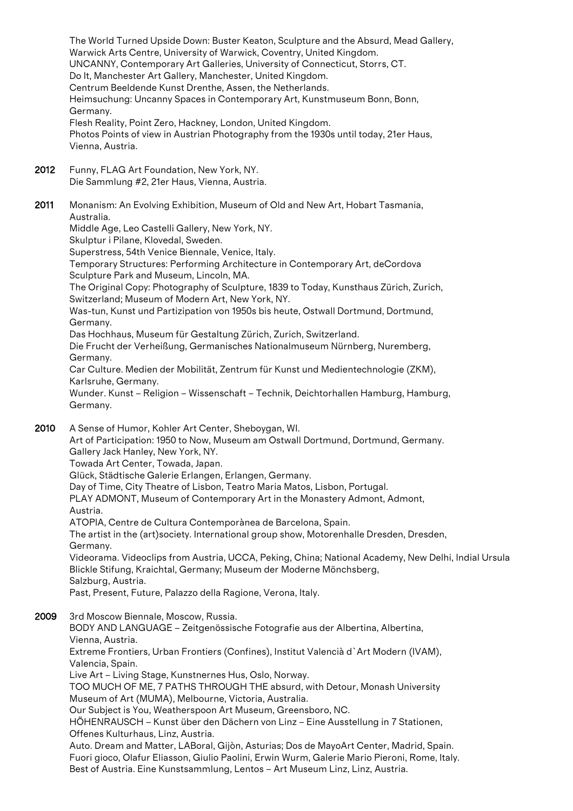Warwick Arts Centre, University of Warwick, Coventry, United Kingdom. UNCANNY, Contemporary Art Galleries, University of Connecticut, Storrs, CT. Do It, Manchester Art Gallery, Manchester, United Kingdom. Centrum Beeldende Kunst Drenthe, Assen, the Netherlands. Heimsuchung: Uncanny Spaces in Contemporary Art, Kunstmuseum Bonn, Bonn, Germany. Flesh Reality, Point Zero, Hackney, London, United Kingdom. Photos Points of view in Austrian Photography from the 1930s until today, 21er Haus, Vienna, Austria. 2012 Funny, FLAG Art Foundation, New York, NY. Die Sammlung #2, 21er Haus, Vienna, Austria. 2011 Monanism: An Evolving Exhibition, Museum of Old and New Art, Hobart Tasmania, Australia. Middle Age, Leo Castelli Gallery, New York, NY. Skulptur i Pilane, Klovedal, Sweden. Superstress, 54th Venice Biennale, Venice, Italy. Temporary Structures: Performing Architecture in Contemporary Art, deCordova Sculpture Park and Museum, Lincoln, MA. The Original Copy: Photography of Sculpture, 1839 to Today, Kunsthaus Zürich, Zurich, Switzerland; Museum of Modern Art, New York, NY. Was-tun, Kunst und Partizipation von 1950s bis heute, Ostwall Dortmund, Dortmund, Germany. Das Hochhaus, Museum für Gestaltung Zürich, Zurich, Switzerland. Die Frucht der Verheißung, Germanisches Nationalmuseum Nürnberg, Nuremberg, Germany. Car Culture. Medien der Mobilität, Zentrum für Kunst und Medientechnologie (ZKM), Karlsruhe, Germany. Wunder. Kunst – Religion – Wissenschaft – Technik, Deichtorhallen Hamburg, Hamburg, Germany. 2010 A Sense of Humor, Kohler Art Center, Sheboygan, WI. Art of Participation: 1950 to Now, Museum am Ostwall Dortmund, Dortmund, Germany. Gallery Jack Hanley, New York, NY. Towada Art Center, Towada, Japan. Glück, Städtische Galerie Erlangen, Erlangen, Germany. Day of Time, City Theatre of Lisbon, Teatro Maria Matos, Lisbon, Portugal. PLAY ADMONT, Museum of Contemporary Art in the Monastery Admont, Admont, Austria. ATOPIA, Centre de Cultura Contemporànea de Barcelona, Spain. The artist in the (art)society. International group show, Motorenhalle Dresden, Dresden, Germany. Videorama. Videoclips from Austria, UCCA, Peking, China; National Academy, New Delhi, Indial Ursula Blickle Stifung, Kraichtal, Germany; Museum der Moderne Mönchsberg, Salzburg, Austria. Past, Present, Future, Palazzo della Ragione, Verona, Italy. 2009 3rd Moscow Biennale, Moscow, Russia. BODY AND LANGUAGE – Zeitgenössische Fotografie aus der Albertina, Albertina, Vienna, Austria. Extreme Frontiers, Urban Frontiers (Confines), Institut Valencià d`Art Modern (IVAM), Valencia, Spain. Live Art – Living Stage, Kunstnernes Hus, Oslo, Norway. TOO MUCH OF ME, 7 PATHS THROUGH THE absurd, with Detour, Monash University Museum of Art (MUMA), Melbourne, Victoria, Australia. Our Subject is You, Weatherspoon Art Museum, Greensboro, NC. HÖHENRAUSCH – Kunst über den Dächern von Linz – Eine Ausstellung in 7 Stationen, Offenes Kulturhaus, Linz, Austria. Auto. Dream and Matter, LABoral, Gijòn, Asturias; Dos de MayoArt Center, Madrid, Spain. Fuori gioco, Olafur Eliasson, Giulio Paolini, Erwin Wurm, Galerie Mario Pieroni, Rome, Italy. Best of Austria. Eine Kunstsammlung, Lentos – Art Museum Linz, Linz, Austria.

The World Turned Upside Down: Buster Keaton, Sculpture and the Absurd, Mead Gallery,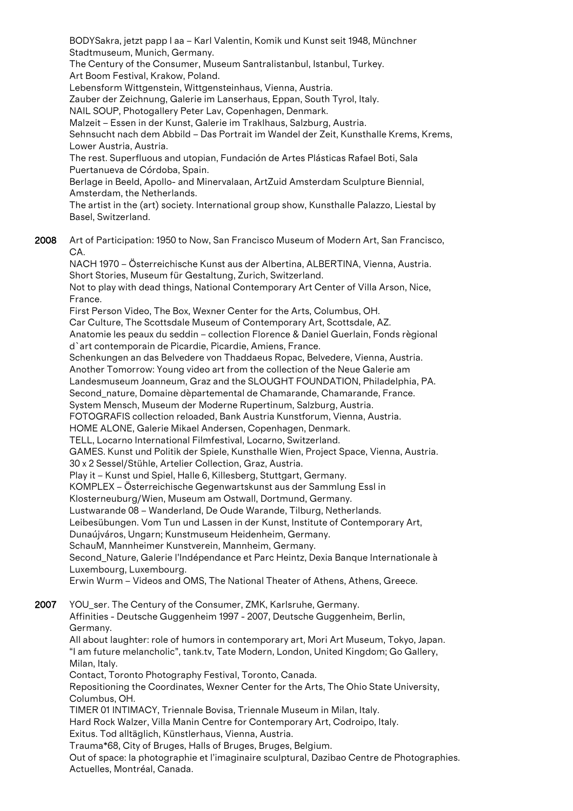BODYSakra, jetzt papp I aa – Karl Valentin, Komik und Kunst seit 1948, Münchner Stadtmuseum, Munich, Germany.

The Century of the Consumer, Museum Santralistanbul, Istanbul, Turkey. Art Boom Festival, Krakow, Poland.

Lebensform Wittgenstein, Wittgensteinhaus, Vienna, Austria.

Zauber der Zeichnung, Galerie im Lanserhaus, Eppan, South Tyrol, Italy.

NAIL SOUP, Photogallery Peter Lav, Copenhagen, Denmark.

Malzeit – Essen in der Kunst, Galerie im Traklhaus, Salzburg, Austria.

Sehnsucht nach dem Abbild – Das Portrait im Wandel der Zeit, Kunsthalle Krems, Krems, Lower Austria, Austria.

The rest. Superfluous and utopian, Fundación de Artes Plásticas Rafael Boti, Sala Puertanueva de Córdoba, Spain.

Berlage in Beeld, Apollo- and Minervalaan, ArtZuid Amsterdam Sculpture Biennial, Amsterdam, the Netherlands.

The artist in the (art) society. International group show, Kunsthalle Palazzo, Liestal by Basel, Switzerland.

2008 Art of Participation: 1950 to Now, San Francisco Museum of Modern Art, San Francisco, CA.

NACH 1970 – Österreichische Kunst aus der Albertina, ALBERTINA, Vienna, Austria. Short Stories, Museum für Gestaltung, Zurich, Switzerland.

Not to play with dead things, National Contemporary Art Center of Villa Arson, Nice, France.

First Person Video, The Box, Wexner Center for the Arts, Columbus, OH. Car Culture, The Scottsdale Museum of Contemporary Art, Scottsdale, AZ.

Anatomie les peaux du seddin – collection Florence & Daniel Guerlain, Fonds règional d`art contemporain de Picardie, Picardie, Amiens, France.

Schenkungen an das Belvedere von Thaddaeus Ropac, Belvedere, Vienna, Austria. Another Tomorrow: Young video art from the collection of the Neue Galerie am Landesmuseum Joanneum, Graz and the SLOUGHT FOUNDATION, Philadelphia, PA.

Second\_nature, Domaine dèpartemental de Chamarande, Chamarande, France.

System Mensch, Museum der Moderne Rupertinum, Salzburg, Austria.

FOTOGRAFIS collection reloaded, Bank Austria Kunstforum, Vienna, Austria.

HOME ALONE, Galerie Mikael Andersen, Copenhagen, Denmark.

TELL, Locarno International Filmfestival, Locarno, Switzerland.

GAMES. Kunst und Politik der Spiele, Kunsthalle Wien, Project Space, Vienna, Austria.

- 30 x 2 Sessel/Stühle, Artelier Collection, Graz, Austria.
- Play it Kunst und Spiel, Halle 6, Killesberg, Stuttgart, Germany.

KOMPLEX – Österreichische Gegenwartskunst aus der Sammlung Essl in

Klosterneuburg/Wien, Museum am Ostwall, Dortmund, Germany.

Lustwarande 08 – Wanderland, De Oude Warande, Tilburg, Netherlands.

Leibesübungen. Vom Tun und Lassen in der Kunst, Institute of Contemporary Art,

Dunaújváros, Ungarn; Kunstmuseum Heidenheim, Germany.

SchauM, Mannheimer Kunstverein, Mannheim, Germany.

Second\_Nature, Galerie l'Indépendance et Parc Heintz, Dexia Banque Internationale à Luxembourg, Luxembourg.

Erwin Wurm – Videos and OMS, The National Theater of Athens, Athens, Greece.

2007 YOU\_ser. The Century of the Consumer, ZMK, Karlsruhe, Germany. Affinities - Deutsche Guggenheim 1997 - 2007, Deutsche Guggenheim, Berlin, Germany.

All about laughter: role of humors in contemporary art, Mori Art Museum, Tokyo, Japan. "I am future melancholic", tank.tv, Tate Modern, London, United Kingdom; Go Gallery, Milan, Italy.

Contact, Toronto Photography Festival, Toronto, Canada.

Repositioning the Coordinates, Wexner Center for the Arts, The Ohio State University, Columbus, OH.

TIMER 01 INTIMACY, Triennale Bovisa, Triennale Museum in Milan, Italy.

Hard Rock Walzer, Villa Manin Centre for Contemporary Art, Codroipo, Italy.

Exitus. Tod alltäglich, Künstlerhaus, Vienna, Austria.

Trauma\*68, City of Bruges, Halls of Bruges, Bruges, Belgium.

Out of space: la photographie et l'imaginaire sculptural, Dazibao Centre de Photographies. Actuelles, Montréal, Canada.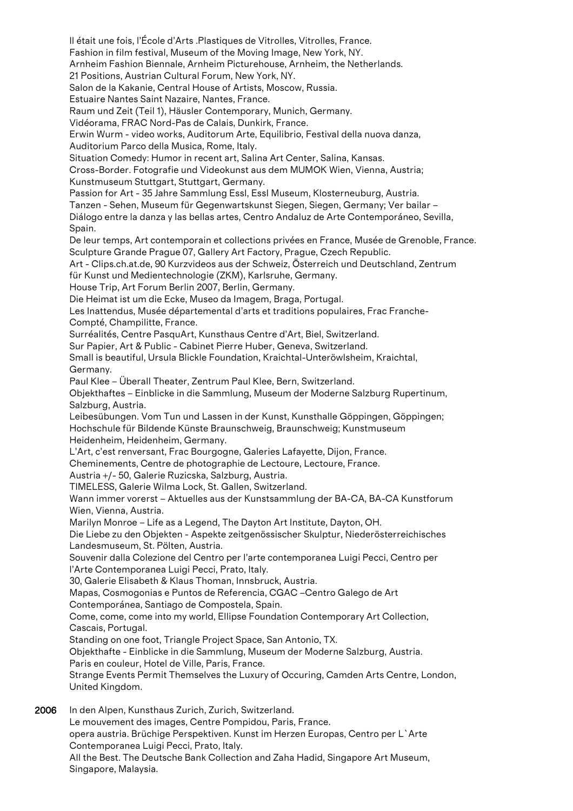Il était une fois, l'École d'Arts .Plastiques de Vitrolles, Vitrolles, France. Fashion in film festival, Museum of the Moving Image, New York, NY. Arnheim Fashion Biennale, Arnheim Picturehouse, Arnheim, the Netherlands. 21 Positions, Austrian Cultural Forum, New York, NY. Salon de la Kakanie, Central House of Artists, Moscow, Russia. Estuaire Nantes Saint Nazaire, Nantes, France. Raum und Zeit (Teil 1), Häusler Contemporary, Munich, Germany. Vidéorama, FRAC Nord-Pas de Calais, Dunkirk, France. Erwin Wurm - video works, Auditorum Arte, Equilibrio, Festival della nuova danza, Auditorium Parco della Musica, Rome, Italy. Situation Comedy: Humor in recent art, Salina Art Center, Salina, Kansas. Cross-Border. Fotografie und Videokunst aus dem MUMOK Wien, Vienna, Austria; Kunstmuseum Stuttgart, Stuttgart, Germany. Passion for Art - 35 Jahre Sammlung Essl, Essl Museum, Klosterneuburg, Austria. Tanzen - Sehen, Museum für Gegenwartskunst Siegen, Siegen, Germany; Ver bailar – Diálogo entre la danza y las bellas artes, Centro Andaluz de Arte Contemporáneo, Sevilla, Spain. De leur temps, Art contemporain et collections privées en France, Musée de Grenoble, France. Sculpture Grande Prague 07, Gallery Art Factory, Prague, Czech Republic. Art - Clips.ch.at.de, 90 Kurzvideos aus der Schweiz, Österreich und Deutschland, Zentrum für Kunst und Medientechnologie (ZKM), Karlsruhe, Germany. House Trip, Art Forum Berlin 2007, Berlin, Germany. Die Heimat ist um die Ecke, Museo da Imagem, Braga, Portugal. Les Inattendus, Musée départemental d'arts et traditions populaires, Frac Franche-Compté, Champilitte, France. Surréalités, Centre PasquArt, Kunsthaus Centre d'Art, Biel, Switzerland. Sur Papier, Art & Public - Cabinet Pierre Huber, Geneva, Switzerland. Small is beautiful, Ursula Blickle Foundation, Kraichtal-Unteröwlsheim, Kraichtal, Germany. Paul Klee – Überall Theater, Zentrum Paul Klee, Bern, Switzerland. Objekthaftes – Einblicke in die Sammlung, Museum der Moderne Salzburg Rupertinum, Salzburg, Austria. Leibesübungen. Vom Tun und Lassen in der Kunst, Kunsthalle Göppingen, Göppingen; Hochschule für Bildende Künste Braunschweig, Braunschweig; Kunstmuseum Heidenheim, Heidenheim, Germany. L'Art, c'est renversant, Frac Bourgogne, Galeries Lafayette, Dijon, France. Cheminements, Centre de photographie de Lectoure, Lectoure, France. Austria +/- 50, Galerie Ruzicska, Salzburg, Austria. TIMELESS, Galerie Wilma Lock, St. Gallen, Switzerland. Wann immer vorerst – Aktuelles aus der Kunstsammlung der BA-CA, BA-CA Kunstforum Wien, Vienna, Austria. Marilyn Monroe – Life as a Legend, The Dayton Art Institute, Dayton, OH. Die Liebe zu den Objekten - Aspekte zeitgenössischer Skulptur, Niederösterreichisches Landesmuseum, St. Pölten, Austria. Souvenir dalla Colezione del Centro per l'arte contemporanea Luigi Pecci, Centro per l'Arte Contemporanea Luigi Pecci, Prato, Italy. 30, Galerie Elisabeth & Klaus Thoman, Innsbruck, Austria. Mapas, Cosmogonias e Puntos de Referencia, CGAC –Centro Galego de Art Contemporánea, Santiago de Compostela, Spain. Come, come, come into my world, Ellipse Foundation Contemporary Art Collection, Cascais, Portugal. Standing on one foot, Triangle Project Space, San Antonio, TX. Objekthafte - Einblicke in die Sammlung, Museum der Moderne Salzburg, Austria. Paris en couleur, Hotel de Ville, Paris, France. Strange Events Permit Themselves the Luxury of Occuring, Camden Arts Centre, London, United Kingdom. 2006 In den Alpen, Kunsthaus Zurich, Zurich, Switzerland. Le mouvement des images, Centre Pompidou, Paris, France. opera austria. Brüchige Perspektiven. Kunst im Herzen Europas, Centro per L`Arte

Contemporanea Luigi Pecci, Prato, Italy.

All the Best. The Deutsche Bank Collection and Zaha Hadid, Singapore Art Museum, Singapore, Malaysia.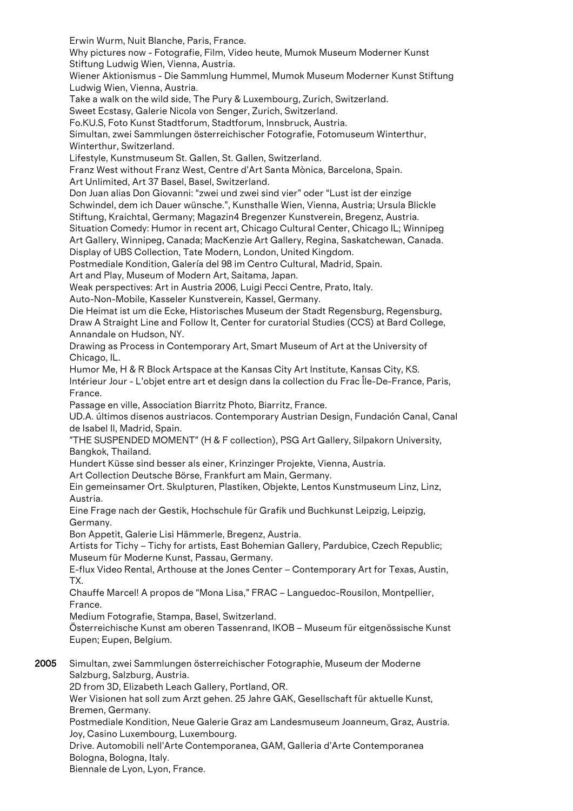Erwin Wurm, Nuit Blanche, Paris, France. Why pictures now - Fotografie, Film, Video heute, Mumok Museum Moderner Kunst Stiftung Ludwig Wien, Vienna, Austria.

Wiener Aktionismus - Die Sammlung Hummel, Mumok Museum Moderner Kunst Stiftung Ludwig Wien, Vienna, Austria.

Take a walk on the wild side, The Pury & Luxembourg, Zurich, Switzerland.

Sweet Ecstasy, Galerie Nicola von Senger, Zurich, Switzerland.

Fo.KU.S, Foto Kunst Stadtforum, Stadtforum, Innsbruck, Austria.

Simultan, zwei Sammlungen österreichischer Fotografie, Fotomuseum Winterthur, Winterthur, Switzerland.

Lifestyle, Kunstmuseum St. Gallen, St. Gallen, Switzerland.

Franz West without Franz West, Centre d'Art Santa Mònica, Barcelona, Spain.

Art Unlimited, Art 37 Basel, Basel, Switzerland.

Don Juan alias Don Giovanni: "zwei und zwei sind vier" oder "Lust ist der einzige Schwindel, dem ich Dauer wünsche.", Kunsthalle Wien, Vienna, Austria; Ursula Blickle Stiftung, Kraichtal, Germany; Magazin4 Bregenzer Kunstverein, Bregenz, Austria. Situation Comedy: Humor in recent art, Chicago Cultural Center, Chicago IL; Winnipeg

Art Gallery, Winnipeg, Canada; MacKenzie Art Gallery, Regina, Saskatchewan, Canada.

Display of UBS Collection, Tate Modern, London, United Kingdom.

Postmediale Kondition, Galería del 98 im Centro Cultural, Madrid, Spain.

Art and Play, Museum of Modern Art, Saitama, Japan.

Weak perspectives: Art in Austria 2006, Luigi Pecci Centre, Prato, Italy.

Auto-Non-Mobile, Kasseler Kunstverein, Kassel, Germany.

Die Heimat ist um die Ecke, Historisches Museum der Stadt Regensburg, Regensburg, Draw A Straight Line and Follow It, Center for curatorial Studies (CCS) at Bard College, Annandale on Hudson, NY.

Drawing as Process in Contemporary Art, Smart Museum of Art at the University of Chicago, IL.

Humor Me, H & R Block Artspace at the Kansas City Art Institute, Kansas City, KS. Intérieur Jour - L'objet entre art et design dans la collection du Frac Île-De-France, Paris, France.

Passage en ville, Association Biarritz Photo, Biarritz, France.

UD.A. últimos disenos austriacos. Contemporary Austrian Design, Fundación Canal, Canal de Isabel II, Madrid, Spain.

"THE SUSPENDED MOMENT" (H & F collection), PSG Art Gallery, Silpakorn University, Bangkok, Thailand.

Hundert Küsse sind besser als einer, Krinzinger Projekte, Vienna, Austria.

Art Collection Deutsche Börse, Frankfurt am Main, Germany.

Ein gemeinsamer Ort. Skulpturen, Plastiken, Objekte, Lentos Kunstmuseum Linz, Linz, Austria.

Eine Frage nach der Gestik, Hochschule für Grafik und Buchkunst Leipzig, Leipzig, Germany.

Bon Appetit, Galerie Lisi Hämmerle, Bregenz, Austria.

Artists for Tichy – Tichy for artists, East Bohemian Gallery, Pardubice, Czech Republic; Museum für Moderne Kunst, Passau, Germany.

E-flux Video Rental, Arthouse at the Jones Center – Contemporary Art for Texas, Austin, TX.

Chauffe Marcel! A propos de "Mona Lisa," FRAC – Languedoc-Rousilon, Montpellier, France.

Medium Fotografie, Stampa, Basel, Switzerland.

Österreichische Kunst am oberen Tassenrand, IKOB – Museum für eitgenössische Kunst Eupen; Eupen, Belgium.

2005 Simultan, zwei Sammlungen österreichischer Fotographie, Museum der Moderne Salzburg, Salzburg, Austria.

2D from 3D, Elizabeth Leach Gallery, Portland, OR.

Wer Visionen hat soll zum Arzt gehen. 25 Jahre GAK, Gesellschaft für aktuelle Kunst, Bremen, Germany.

Postmediale Kondition, Neue Galerie Graz am Landesmuseum Joanneum, Graz, Austria. Joy, Casino Luxembourg, Luxembourg.

Drive. Automobili nell'Arte Contemporanea, GAM, Galleria d'Arte Contemporanea Bologna, Bologna, Italy.

Biennale de Lyon, Lyon, France.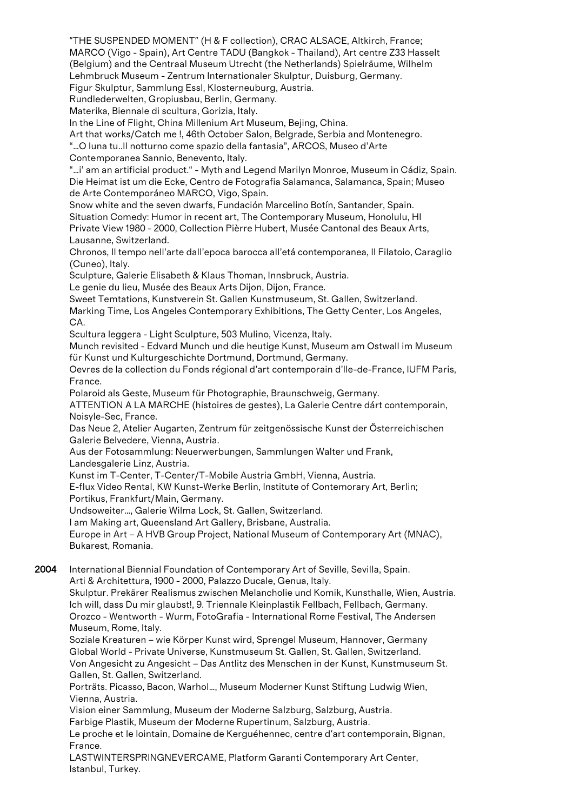"THE SUSPENDED MOMENT" (H & F collection), CRAC ALSACE, Altkirch, France; MARCO (Vigo - Spain), Art Centre TADU (Bangkok - Thailand), Art centre Z33 Hasselt (Belgium) and the Centraal Museum Utrecht (the Netherlands) Spielräume, Wilhelm Lehmbruck Museum - Zentrum Internationaler Skulptur, Duisburg, Germany.

Figur Skulptur, Sammlung Essl, Klosterneuburg, Austria.

Rundlederwelten, Gropiusbau, Berlin, Germany.

Materika, Biennale di scultura, Gorizia, Italy.

In the Line of Flight, China Millenium Art Museum, Bejing, China.

Art that works/Catch me !, 46th October Salon, Belgrade, Serbia and Montenegro.

"…O luna tu..Il notturno come spazio della fantasia", ARCOS, Museo d'Arte

Contemporanea Sannio, Benevento, Italy.

"…i' am an artificial product." - Myth and Legend Marilyn Monroe, Museum in Cádiz, Spain. Die Heimat ist um die Ecke, Centro de Fotografia Salamanca, Salamanca, Spain; Museo de Arte Contemporáneo MARCO, Vigo, Spain.

Snow white and the seven dwarfs, Fundación Marcelino Botín, Santander, Spain.

Situation Comedy: Humor in recent art, The Contemporary Museum, Honolulu, HI Private View 1980 - 2000, Collection Pièrre Hubert, Musée Cantonal des Beaux Arts, Lausanne, Switzerland.

Chronos, Il tempo nell'arte dall'epoca barocca all'etá contemporanea, Il Filatoio, Caraglio (Cuneo), Italy.

Sculpture, Galerie Elisabeth & Klaus Thoman, Innsbruck, Austria.

Le genie du lieu, Musée des Beaux Arts Dijon, Dijon, France.

Sweet Temtations, Kunstverein St. Gallen Kunstmuseum, St. Gallen, Switzerland.

Marking Time, Los Angeles Contemporary Exhibitions, The Getty Center, Los Angeles, CA.

Scultura leggera - Light Sculpture, 503 Mulino, Vicenza, Italy.

Munch revisited - Edvard Munch und die heutige Kunst, Museum am Ostwall im Museum für Kunst und Kulturgeschichte Dortmund, Dortmund, Germany.

Oevres de la collection du Fonds régional d'art contemporain d'Ile-de-France, IUFM Paris, France.

Polaroid als Geste, Museum für Photographie, Braunschweig, Germany.

ATTENTION A LA MARCHE (histoires de gestes), La Galerie Centre dárt contemporain, Noisyle-Sec, France.

Das Neue 2, Atelier Augarten, Zentrum für zeitgenössische Kunst der Österreichischen Galerie Belvedere, Vienna, Austria.

Aus der Fotosammlung: Neuerwerbungen, Sammlungen Walter und Frank, Landesgalerie Linz, Austria.

Kunst im T-Center, T-Center/T-Mobile Austria GmbH, Vienna, Austria.

E-flux Video Rental, KW Kunst-Werke Berlin, Institute of Contemorary Art, Berlin; Portikus, Frankfurt/Main, Germany.

Undsoweiter…, Galerie Wilma Lock, St. Gallen, Switzerland.

I am Making art, Queensland Art Gallery, Brisbane, Australia.

Europe in Art – A HVB Group Project, National Museum of Contemporary Art (MNAC), Bukarest, Romania.

2004 International Biennial Foundation of Contemporary Art of Seville, Sevilla, Spain. Arti & Architettura, 1900 - 2000, Palazzo Ducale, Genua, Italy.

Skulptur. Prekärer Realismus zwischen Melancholie und Komik, Kunsthalle, Wien, Austria. Ich will, dass Du mir glaubst!, 9. Triennale Kleinplastik Fellbach, Fellbach, Germany. Orozco - Wentworth - Wurm, FotoGrafia - International Rome Festival, The Andersen Museum, Rome, Italy.

Soziale Kreaturen – wie Körper Kunst wird, Sprengel Museum, Hannover, Germany Global World - Private Universe, Kunstmuseum St. Gallen, St. Gallen, Switzerland. Von Angesicht zu Angesicht – Das Antlitz des Menschen in der Kunst, Kunstmuseum St. Gallen, St. Gallen, Switzerland.

Porträts. Picasso, Bacon, Warhol…, Museum Moderner Kunst Stiftung Ludwig Wien, Vienna, Austria.

Vision einer Sammlung, Museum der Moderne Salzburg, Salzburg, Austria.

Farbige Plastik, Museum der Moderne Rupertinum, Salzburg, Austria.

Le proche et le lointain, Domaine de Kerguéhennec, centre d'art contemporain, Bignan, France.

LASTWINTERSPRINGNEVERCAME, Platform Garanti Contemporary Art Center, Istanbul, Turkey.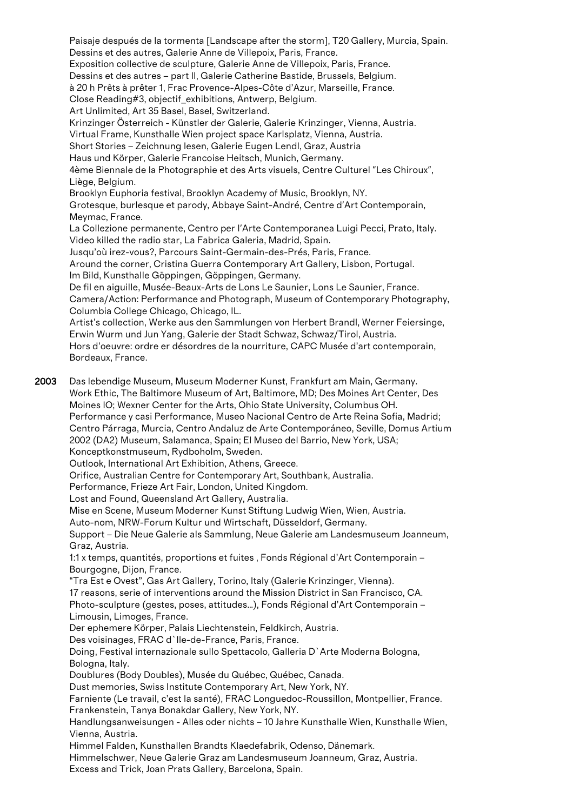Paisaje después de la tormenta [Landscape after the storm], T20 Gallery, Murcia, Spain. Dessins et des autres, Galerie Anne de Villepoix, Paris, France. Exposition collective de sculpture, Galerie Anne de Villepoix, Paris, France. Dessins et des autres – part II, Galerie Catherine Bastide, Brussels, Belgium. à 20 h Prêts à prêter 1, Frac Provence-Alpes-Côte d'Azur, Marseille, France. Close Reading#3, objectif\_exhibitions, Antwerp, Belgium. Art Unlimited, Art 35 Basel, Basel, Switzerland. Krinzinger Österreich - Künstler der Galerie, Galerie Krinzinger, Vienna, Austria. Virtual Frame, Kunsthalle Wien project space Karlsplatz, Vienna, Austria. Short Stories – Zeichnung lesen, Galerie Eugen Lendl, Graz, Austria Haus und Körper, Galerie Francoise Heitsch, Munich, Germany. 4ème Biennale de la Photographie et des Arts visuels, Centre Culturel "Les Chiroux", Liège, Belgium. Brooklyn Euphoria festival, Brooklyn Academy of Music, Brooklyn, NY. Grotesque, burlesque et parody, Abbaye Saint-André, Centre d'Art Contemporain, Meymac, France. La Collezione permanente, Centro per l'Arte Contemporanea Luigi Pecci, Prato, Italy. Video killed the radio star, La Fabrica Galeria, Madrid, Spain. Jusqu'où irez-vous?, Parcours Saint-Germain-des-Prés, Paris, France. Around the corner, Cristina Guerra Contemporary Art Gallery, Lisbon, Portugal. Im Bild, Kunsthalle Göppingen, Göppingen, Germany. De fil en aiguille, Musée-Beaux-Arts de Lons Le Saunier, Lons Le Saunier, France. Camera/Action: Performance and Photograph, Museum of Contemporary Photography, Columbia College Chicago, Chicago, IL. Artist's collection, Werke aus den Sammlungen von Herbert Brandl, Werner Feiersinge, Erwin Wurm und Jun Yang, Galerie der Stadt Schwaz, Schwaz/Tirol, Austria. Hors d'oeuvre: ordre er désordres de la nourriture, CAPC Musée d'art contemporain, Bordeaux, France. 2003 Das lebendige Museum, Museum Moderner Kunst, Frankfurt am Main, Germany. Work Ethic, The Baltimore Museum of Art, Baltimore, MD; Des Moines Art Center, Des Moines IO; Wexner Center for the Arts, Ohio State University, Columbus OH. Performance y casi Performance, Museo Nacional Centro de Arte Reina Sofia, Madrid; Centro Párraga, Murcia, Centro Andaluz de Arte Contemporáneo, Seville, Domus Artium 2002 (DA2) Museum, Salamanca, Spain; El Museo del Barrio, New York, USA; Konceptkonstmuseum, Rydboholm, Sweden. Outlook, International Art Exhibition, Athens, Greece. Orifice, Australian Centre for Contemporary Art, Southbank, Australia. Performance, Frieze Art Fair, London, United Kingdom. Lost and Found, Queensland Art Gallery, Australia. Mise en Scene, Museum Moderner Kunst Stiftung Ludwig Wien, Wien, Austria. Auto-nom, NRW-Forum Kultur und Wirtschaft, Düsseldorf, Germany. Support – Die Neue Galerie als Sammlung, Neue Galerie am Landesmuseum Joanneum, Graz, Austria. 1:1 x temps, quantités, proportions et fuites , Fonds Régional d'Art Contemporain – Bourgogne, Dijon, France. "Tra Est e Ovest", Gas Art Gallery, Torino, Italy (Galerie Krinzinger, Vienna). 17 reasons, serie of interventions around the Mission District in San Francisco, CA. Photo-sculpture (gestes, poses, attitudes…), Fonds Régional d'Art Contemporain – Limousin, Limoges, France. Der ephemere Körper, Palais Liechtenstein, Feldkirch, Austria. Des voisinages, FRAC d`Ile-de-France, Paris, France. Doing, Festival internazionale sullo Spettacolo, Galleria D`Arte Moderna Bologna, Bologna, Italy.

Doublures (Body Doubles), Musée du Québec, Québec, Canada.

Dust memories, Swiss Institute Contemporary Art, New York, NY.

Farniente (Le travail, c'est la santé), FRAC Longuedoc-Roussillon, Montpellier, France. Frankenstein, Tanya Bonakdar Gallery, New York, NY.

Handlungsanweisungen - Alles oder nichts – 10 Jahre Kunsthalle Wien, Kunsthalle Wien, Vienna, Austria.

Himmel Falden, Kunsthallen Brandts Klaedefabrik, Odenso, Dänemark.

Himmelschwer, Neue Galerie Graz am Landesmuseum Joanneum, Graz, Austria. Excess and Trick, Joan Prats Gallery, Barcelona, Spain.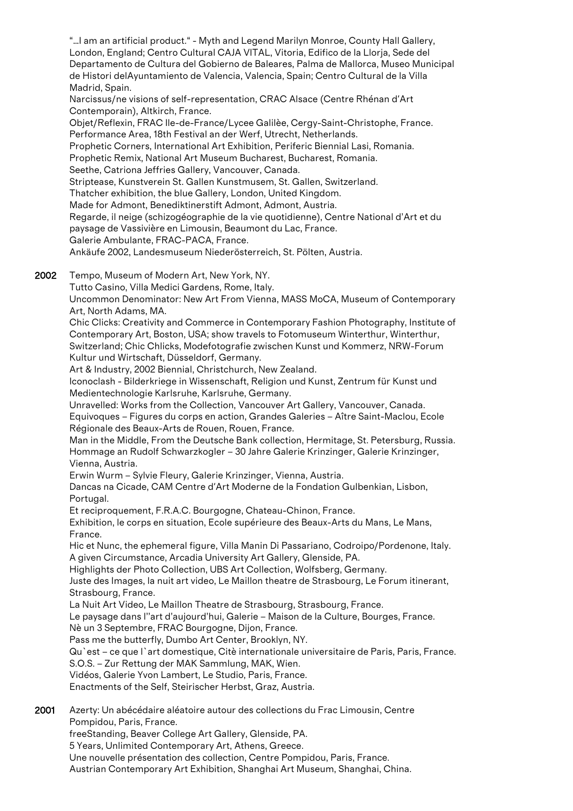"…I am an artificial product." - Myth and Legend Marilyn Monroe, County Hall Gallery, London, England; Centro Cultural CAJA VITAL, Vitoria, Edifico de la Llorja, Sede del Departamento de Cultura del Gobierno de Baleares, Palma de Mallorca, Museo Municipal de Histori delAyuntamiento de Valencia, Valencia, Spain; Centro Cultural de la Villa Madrid, Spain. Narcissus/ne visions of self-representation, CRAC Alsace (Centre Rhénan d'Art Contemporain), Altkirch, France. Objet/Reflexin, FRAC Ile-de-France/Lycee Galilèe, Cergy-Saint-Christophe, France. Performance Area, 18th Festival an der Werf, Utrecht, Netherlands. Prophetic Corners, International Art Exhibition, Periferic Biennial Lasi, Romania. Prophetic Remix, National Art Museum Bucharest, Bucharest, Romania. Seethe, Catriona Jeffries Gallery, Vancouver, Canada. Striptease, Kunstverein St. Gallen Kunstmusem, St. Gallen, Switzerland. Thatcher exhibition, the blue Gallery, London, United Kingdom. Made for Admont, Benediktinerstift Admont, Admont, Austria. Regarde, il neige (schizogéographie de la vie quotidienne), Centre National d'Art et du paysage de Vassivière en Limousin, Beaumont du Lac, France. Galerie Ambulante, FRAC-PACA, France. Ankäufe 2002, Landesmuseum Niederösterreich, St. Pölten, Austria.

- 2002 Tempo, Museum of Modern Art, New York, NY.
	- Tutto Casino, Villa Medici Gardens, Rome, Italy.

Uncommon Denominator: New Art From Vienna, MASS MoCA, Museum of Contemporary Art, North Adams, MA.

Chic Clicks: Creativity and Commerce in Contemporary Fashion Photography, Institute of Contemporary Art, Boston, USA; show travels to Fotomuseum Winterthur, Winterthur, Switzerland; Chic Chlicks, Modefotografie zwischen Kunst und Kommerz, NRW-Forum Kultur und Wirtschaft, Düsseldorf, Germany.

Art & Industry, 2002 Biennial, Christchurch, New Zealand.

Iconoclash - Bilderkriege in Wissenschaft, Religion und Kunst, Zentrum für Kunst und Medientechnologie Karlsruhe, Karlsruhe, Germany.

Unravelled: Works from the Collection, Vancouver Art Gallery, Vancouver, Canada. Equivoques – Figures du corps en action, Grandes Galeries – Aître Saint-Maclou, Ecole Régionale des Beaux-Arts de Rouen, Rouen, France.

Man in the Middle, From the Deutsche Bank collection, Hermitage, St. Petersburg, Russia. Hommage an Rudolf Schwarzkogler – 30 Jahre Galerie Krinzinger, Galerie Krinzinger, Vienna, Austria.

Erwin Wurm – Sylvie Fleury, Galerie Krinzinger, Vienna, Austria.

Dancas na Cicade, CAM Centre d'Art Moderne de la Fondation Gulbenkian, Lisbon, Portugal.

Et reciproquement, F.R.A.C. Bourgogne, Chateau-Chinon, France.

Exhibition, le corps en situation, Ecole supérieure des Beaux-Arts du Mans, Le Mans, France.

Hic et Nunc, the ephemeral figure, Villa Manin Di Passariano, Codroipo/Pordenone, Italy. A given Circumstance, Arcadia University Art Gallery, Glenside, PA.

Highlights der Photo Collection, UBS Art Collection, Wolfsberg, Germany.

Juste des Images, la nuit art video, Le Maillon theatre de Strasbourg, Le Forum itinerant, Strasbourg, France.

La Nuit Art Video, Le Maillon Theatre de Strasbourg, Strasbourg, France.

Le paysage dans l''art d'aujourd'hui, Galerie – Maison de la Culture, Bourges, France.

Nè un 3 Septembre, FRAC Bourgogne, Dijon, France.

Pass me the butterfly, Dumbo Art Center, Brooklyn, NY.

Qu`est – ce que l`art domestique, Citè internationale universitaire de Paris, Paris, France.

S.O.S. – Zur Rettung der MAK Sammlung, MAK, Wien.

Vidéos, Galerie Yvon Lambert, Le Studio, Paris, France.

Enactments of the Self, Steirischer Herbst, Graz, Austria.

2001 Azerty: Un abécédaire aléatoire autour des collections du Frac Limousin, Centre Pompidou, Paris, France. freeStanding, Beaver College Art Gallery, Glenside, PA.

5 Years, Unlimited Contemporary Art, Athens, Greece.

Une nouvelle présentation des collection, Centre Pompidou, Paris, France.

Austrian Contemporary Art Exhibition, Shanghai Art Museum, Shanghai, China.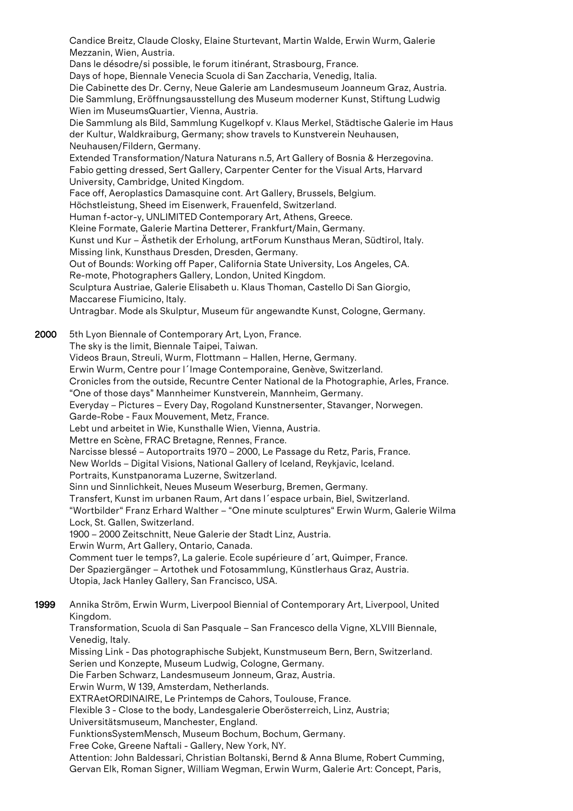Candice Breitz, Claude Closky, Elaine Sturtevant, Martin Walde, Erwin Wurm, Galerie Mezzanin, Wien, Austria. Dans le désodre/si possible, le forum itinérant, Strasbourg, France. Days of hope, Biennale Venecia Scuola di San Zaccharia, Venedig, Italia. Die Cabinette des Dr. Cerny, Neue Galerie am Landesmuseum Joanneum Graz, Austria. Die Sammlung, Eröffnungsausstellung des Museum moderner Kunst, Stiftung Ludwig Wien im MuseumsQuartier, Vienna, Austria. Die Sammlung als Bild, Sammlung Kugelkopf v. Klaus Merkel, Städtische Galerie im Haus der Kultur, Waldkraiburg, Germany; show travels to Kunstverein Neuhausen, Neuhausen/Fildern, Germany. Extended Transformation/Natura Naturans n.5, Art Gallery of Bosnia & Herzegovina. Fabio getting dressed, Sert Gallery, Carpenter Center for the Visual Arts, Harvard University, Cambridge, United Kingdom. Face off, Aeroplastics Damasquine cont. Art Gallery, Brussels, Belgium. Höchstleistung, Sheed im Eisenwerk, Frauenfeld, Switzerland. Human f-actor-y, UNLIMITED Contemporary Art, Athens, Greece. Kleine Formate, Galerie Martina Detterer, Frankfurt/Main, Germany. Kunst und Kur – Ästhetik der Erholung, artForum Kunsthaus Meran, Südtirol, Italy. Missing link, Kunsthaus Dresden, Dresden, Germany. Out of Bounds: Working off Paper, California State University, Los Angeles, CA. Re-mote, Photographers Gallery, London, United Kingdom. Sculptura Austriae, Galerie Elisabeth u. Klaus Thoman, Castello Di San Giorgio, Maccarese Fiumicino, Italy. Untragbar. Mode als Skulptur, Museum für angewandte Kunst, Cologne, Germany. 2000 5th Lyon Biennale of Contemporary Art, Lyon, France. The sky is the limit, Biennale Taipei, Taiwan. Videos Braun, Streuli, Wurm, Flottmann – Hallen, Herne, Germany. Erwin Wurm, Centre pour l´Image Contemporaine, Genève, Switzerland. Cronicles from the outside, Recuntre Center National de la Photographie, Arles, France. "One of those days" Mannheimer Kunstverein, Mannheim, Germany. Everyday – Pictures – Every Day, Rogoland Kunstnersenter, Stavanger, Norwegen. Garde-Robe - Faux Mouvement, Metz, France. Lebt und arbeitet in Wie, Kunsthalle Wien, Vienna, Austria. Mettre en Scène, FRAC Bretagne, Rennes, France. Narcisse blessé – Autoportraits 1970 – 2000, Le Passage du Retz, Paris, France. New Worlds – Digital Visions, National Gallery of Iceland, Reykjavic, Iceland. Portraits, Kunstpanorama Luzerne, Switzerland. Sinn und Sinnlichkeit, Neues Museum Weserburg, Bremen, Germany. Transfert, Kunst im urbanen Raum, Art dans l´espace urbain, Biel, Switzerland. "Wortbilder" Franz Erhard Walther – "One minute sculptures" Erwin Wurm, Galerie Wilma Lock, St. Gallen, Switzerland. 1900 – 2000 Zeitschnitt, Neue Galerie der Stadt Linz, Austria. Erwin Wurm, Art Gallery, Ontario, Canada. Comment tuer le temps?, La galerie. Ecole supérieure d´art, Quimper, France. Der Spaziergänger – Artothek und Fotosammlung, Künstlerhaus Graz, Austria. Utopia, Jack Hanley Gallery, San Francisco, USA. 1999 Annika Ström, Erwin Wurm, Liverpool Biennial of Contemporary Art, Liverpool, United Kingdom. Transformation, Scuola di San Pasquale – San Francesco della Vigne, XLVIII Biennale, Venedig, Italy. Missing Link - Das photographische Subjekt, Kunstmuseum Bern, Bern, Switzerland. Serien und Konzepte, Museum Ludwig, Cologne, Germany. Die Farben Schwarz, Landesmuseum Jonneum, Graz, Austria. Erwin Wurm, W 139, Amsterdam, Netherlands. EXTRAetORDINAIRE, Le Printemps de Cahors, Toulouse, France. Flexible 3 - Close to the body, Landesgalerie Oberösterreich, Linz, Austria; Universitätsmuseum, Manchester, England. FunktionsSystemMensch, Museum Bochum, Bochum, Germany. Free Coke, Greene Naftali - Gallery, New York, NY. Attention: John Baldessari, Christian Boltanski, Bernd & Anna Blume, Robert Cumming, Gervan Elk, Roman Signer, William Wegman, Erwin Wurm, Galerie Art: Concept, Paris,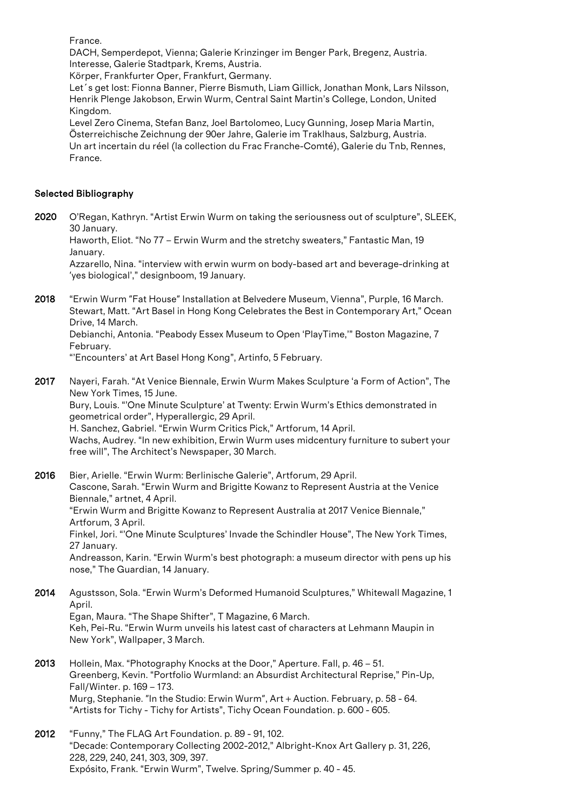France.

DACH, Semperdepot, Vienna; Galerie Krinzinger im Benger Park, Bregenz, Austria. Interesse, Galerie Stadtpark, Krems, Austria.

Körper, Frankfurter Oper, Frankfurt, Germany.

Let´s get lost: Fionna Banner, Pierre Bismuth, Liam Gillick, Jonathan Monk, Lars Nilsson, Henrik Plenge Jakobson, Erwin Wurm, Central Saint Martin's College, London, United Kingdom.

Level Zero Cinema, Stefan Banz, Joel Bartolomeo, Lucy Gunning, Josep Maria Martin, Österreichische Zeichnung der 90er Jahre, Galerie im Traklhaus, Salzburg, Austria. Un art incertain du réel (la collection du Frac Franche-Comté), Galerie du Tnb, Rennes, France.

## Selected Bibliography

2020 O'Regan, Kathryn. "Artist Erwin Wurm on taking the seriousness out of sculpture", SLEEK, 30 January. Haworth, Eliot. "No 77 – Erwin Wurm and the stretchy sweaters," Fantastic Man, 19 January.

Azzarello, Nina. "interview with erwin wurm on body-based art and beverage-drinking at 'yes biological'," designboom, 19 January.

2018 "Erwin Wurm "Fat House" Installation at Belvedere Museum, Vienna", Purple, 16 March. Stewart, Matt. "Art Basel in Hong Kong Celebrates the Best in Contemporary Art," Ocean Drive, 14 March.

Debianchi, Antonia. "Peabody Essex Museum to Open 'PlayTime,'" Boston Magazine, 7 February.

"'Encounters' at Art Basel Hong Kong", Artinfo, 5 February.

2017 Nayeri, Farah. "At Venice Biennale, Erwin Wurm Makes Sculpture 'a Form of Action", The New York Times, 15 June. Bury, Louis. "'One Minute Sculpture' at Twenty: Erwin Wurm's Ethics demonstrated in geometrical order", Hyperallergic, 29 April. H. Sanchez, Gabriel. "Erwin Wurm Critics Pick," Artforum, 14 April. Wachs, Audrey. "In new exhibition, Erwin Wurm uses midcentury furniture to subert your free will", The Architect's Newspaper, 30 March.

2016 Bier, Arielle. "Erwin Wurm: Berlinische Galerie", Artforum, 29 April. Cascone, Sarah. "Erwin Wurm and Brigitte Kowanz to Represent Austria at the Venice Biennale," artnet, 4 April. "Erwin Wurm and Brigitte Kowanz to Represent Australia at 2017 Venice Biennale," Artforum, 3 April. Finkel, Jori. "'One Minute Sculptures' Invade the Schindler House", The New York Times, 27 January. Andreasson, Karin. "Erwin Wurm's best photograph: a museum director with pens up his nose," The Guardian, 14 January.

- 2014 Agustsson, Sola. "Erwin Wurm's Deformed Humanoid Sculptures," Whitewall Magazine, 1 April. Egan, Maura. "The Shape Shifter", T Magazine, 6 March. Keh, Pei-Ru. "Erwin Wurm unveils his latest cast of characters at Lehmann Maupin in New York", Wallpaper, 3 March.
- 2013 Hollein, Max. "Photography Knocks at the Door," Aperture. Fall, p. 46 51. Greenberg, Kevin. "Portfolio Wurmland: an Absurdist Architectural Reprise," Pin-Up, Fall/Winter. p. 169 – 173. Murg, Stephanie. "In the Studio: Erwin Wurm", Art + Auction. February, p. 58 - 64. "Artists for Tichy - Tichy for Artists", Tichy Ocean Foundation. p. 600 - 605.
- 2012 "Funny," The FLAG Art Foundation. p. 89 91, 102. "Decade: Contemporary Collecting 2002-2012," Albright-Knox Art Gallery p. 31, 226, 228, 229, 240, 241, 303, 309, 397. Expósito, Frank. "Erwin Wurm", Twelve. Spring/Summer p. 40 - 45.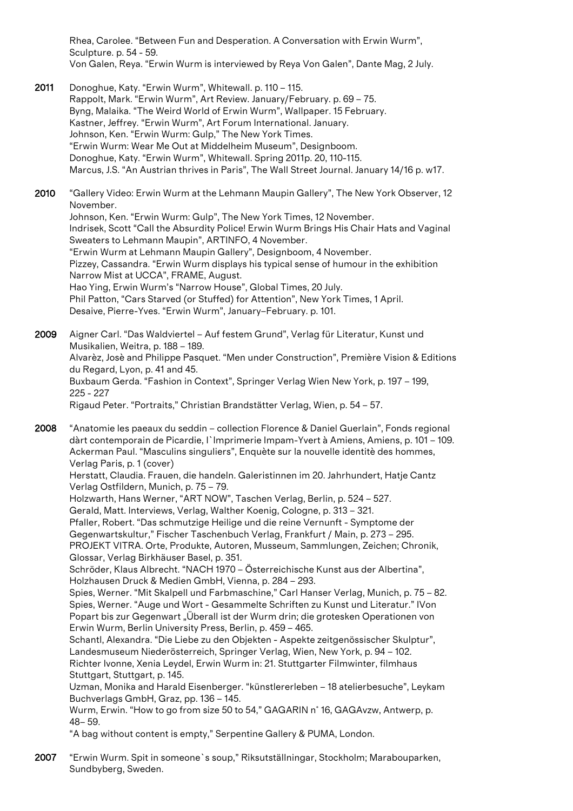Rhea, Carolee. "Between Fun and Desperation. A Conversation with Erwin Wurm", Sculpture. p. 54 - 59. Von Galen, Reya. "Erwin Wurm is interviewed by Reya Von Galen", Dante Mag, 2 July.

- 2011 Donoghue, Katy. "Erwin Wurm", Whitewall. p. 110 115. Rappolt, Mark. "Erwin Wurm", Art Review. January/February. p. 69 – 75. Byng, Malaika. "The Weird World of Erwin Wurm", Wallpaper. 15 February. Kastner, Jeffrey. "Erwin Wurm", Art Forum International. January. Johnson, Ken. "Erwin Wurm: Gulp," The New York Times. "Erwin Wurm: Wear Me Out at Middelheim Museum", Designboom. Donoghue, Katy. "Erwin Wurm", Whitewall. Spring 2011p. 20, 110-115. Marcus, J.S. "An Austrian thrives in Paris", The Wall Street Journal. January 14/16 p. w17.
- 2010 "Gallery Video: Erwin Wurm at the Lehmann Maupin Gallery", The New York Observer, 12 November.

Johnson, Ken. "Erwin Wurm: Gulp", The New York Times, 12 November. Indrisek, Scott "Call the Absurdity Police! Erwin Wurm Brings His Chair Hats and Vaginal Sweaters to Lehmann Maupin", ARTINFO, 4 November.

"Erwin Wurm at Lehmann Maupin Gallery", Designboom, 4 November. Pizzey, Cassandra. "Erwin Wurm displays his typical sense of humour in the exhibition Narrow Mist at UCCA", FRAME, August. Hao Ying, Erwin Wurm's "Narrow House", Global Times, 20 July.

Phil Patton, "Cars Starved (or Stuffed) for Attention", New York Times, 1 April. Desaive, Pierre-Yves. "Erwin Wurm", January–February. p. 101.

2009 Aigner Carl. "Das Waldviertel – Auf festem Grund", Verlag für Literatur, Kunst und Musikalien, Weitra, p. 188 – 189. Alvarèz, Josè and Philippe Pasquet. "Men under Construction", Première Vision & Editions du Regard, Lyon, p. 41 and 45. Buxbaum Gerda. "Fashion in Context", Springer Verlag Wien New York, p. 197 – 199, 225 - 227 Rigaud Peter. "Portraits," Christian Brandstätter Verlag, Wien, p. 54 – 57.

2008 "Anatomie les paeaux du seddin – collection Florence & Daniel Guerlain", Fonds regional dàrt contemporain de Picardie, I`Imprimerie Impam-Yvert à Amiens, Amiens, p. 101 – 109. Ackerman Paul. "Masculins singuliers", Enquète sur la nouvelle identitè des hommes, Verlag Paris, p. 1 (cover)

Herstatt, Claudia. Frauen, die handeln. Galeristinnen im 20. Jahrhundert, Hatje Cantz Verlag Ostfildern, Munich, p. 75 – 79.

Holzwarth, Hans Werner, "ART NOW", Taschen Verlag, Berlin, p. 524 – 527.

Gerald, Matt. Interviews, Verlag, Walther Koenig, Cologne, p. 313 – 321.

Pfaller, Robert. "Das schmutzige Heilige und die reine Vernunft - Symptome der Gegenwartskultur," Fischer Taschenbuch Verlag, Frankfurt / Main, p. 273 – 295. PROJEKT VITRA. Orte, Produkte, Autoren, Musseum, Sammlungen, Zeichen; Chronik, Glossar, Verlag Birkhäuser Basel, p. 351.

Schröder, Klaus Albrecht. "NACH 1970 – Österreichische Kunst aus der Albertina", Holzhausen Druck & Medien GmbH, Vienna, p. 284 – 293.

Spies, Werner. "Mit Skalpell und Farbmaschine," Carl Hanser Verlag, Munich, p. 75 – 82. Spies, Werner. "Auge und Wort - Gesammelte Schriften zu Kunst und Literatur." IVon Popart bis zur Gegenwart "Überall ist der Wurm drin; die grotesken Operationen von Erwin Wurm, Berlin University Press, Berlin, p. 459 – 465.

Schantl, Alexandra. "Die Liebe zu den Objekten - Aspekte zeitgenössischer Skulptur", Landesmuseum Niederösterreich, Springer Verlag, Wien, New York, p. 94 – 102. Richter Ivonne, Xenia Leydel, Erwin Wurm in: 21. Stuttgarter Filmwinter, filmhaus Stuttgart, Stuttgart, p. 145.

Uzman, Monika and Harald Eisenberger. "künstlererleben – 18 atelierbesuche", Leykam Buchverlags GmbH, Graz, pp. 136 – 145.

Wurm, Erwin. "How to go from size 50 to 54," GAGARIN n° 16, GAGAvzw, Antwerp, p. 48– 59.

"A bag without content is empty," Serpentine Gallery & PUMA, London.

2007 "Erwin Wurm. Spit in someone`s soup," Riksutställningar, Stockholm; Marabouparken, Sundbyberg, Sweden.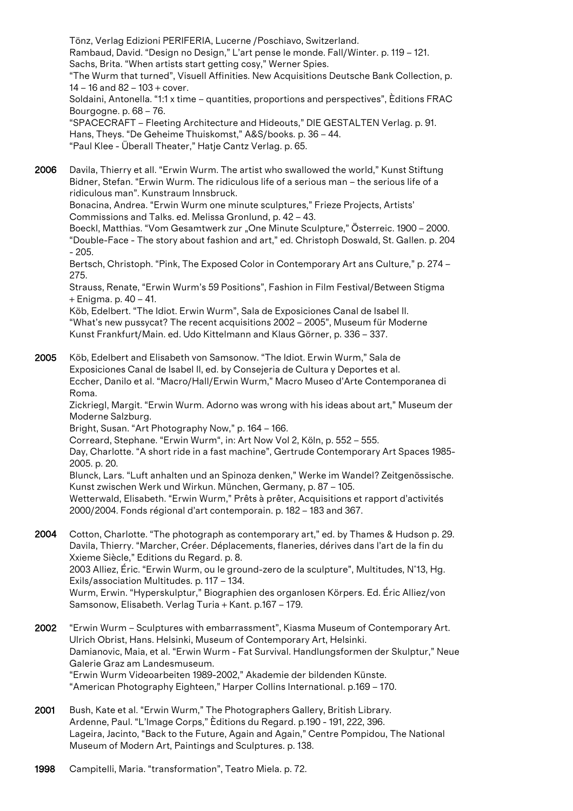Tönz, Verlag Edizioni PERIFERIA, Lucerne /Poschiavo, Switzerland. Rambaud, David. "Design no Design," L'art pense le monde. Fall/Winter. p. 119 – 121. Sachs, Brita. "When artists start getting cosy," Werner Spies. "The Wurm that turned", Visuell Affinities. New Acquisitions Deutsche Bank Collection, p. 14 – 16 and 82 – 103 + cover. Soldaini, Antonella. "1:1 x time – quantities, proportions and perspectives", Èditions FRAC Bourgogne. p. 68 – 76. "SPACECRAFT – Fleeting Architecture and Hideouts," DIE GESTALTEN Verlag. p. 91. Hans, Theys. "De Geheime Thuiskomst," A&S/books. p. 36 – 44.

"Paul Klee - Überall Theater," Hatje Cantz Verlag. p. 65.

2006 Davila, Thierry et all. "Erwin Wurm. The artist who swallowed the world," Kunst Stiftung Bidner, Stefan. "Erwin Wurm. The ridiculous life of a serious man – the serious life of a ridiculous man". Kunstraum Innsbruck.

Bonacina, Andrea. "Erwin Wurm one minute sculptures," Frieze Projects, Artists' Commissions and Talks. ed. Melissa Gronlund, p. 42 – 43.

Boeckl, Matthias. "Vom Gesamtwerk zur "One Minute Sculpture," Österreic. 1900 – 2000. "Double-Face - The story about fashion and art," ed. Christoph Doswald, St. Gallen. p. 204 - 205.

Bertsch, Christoph. "Pink, The Exposed Color in Contemporary Art ans Culture," p. 274 – 275.

Strauss, Renate, "Erwin Wurm's 59 Positions", Fashion in Film Festival/Between Stigma + Enigma. p. 40 – 41.

Köb, Edelbert. "The Idiot. Erwin Wurm", Sala de Exposiciones Canal de Isabel II. "What's new pussycat? The recent acquisitions 2002 – 2005", Museum für Moderne Kunst Frankfurt/Main. ed. Udo Kittelmann and Klaus Görner, p. 336 – 337.

2005 Köb, Edelbert and Elisabeth von Samsonow. "The Idiot. Erwin Wurm," Sala de Exposiciones Canal de Isabel II, ed. by Consejeria de Cultura y Deportes et al. Eccher, Danilo et al. "Macro/Hall/Erwin Wurm," Macro Museo d'Arte Contemporanea di Roma.

Zickriegl, Margit. "Erwin Wurm. Adorno was wrong with his ideas about art," Museum der Moderne Salzburg.

Bright, Susan. "Art Photography Now," p. 164 – 166.

Correard, Stephane. "Erwin Wurm", in: Art Now Vol 2, Köln, p. 552 – 555.

Day, Charlotte. "A short ride in a fast machine", Gertrude Contemporary Art Spaces 1985- 2005. p. 20.

Blunck, Lars. "Luft anhalten und an Spinoza denken," Werke im Wandel? Zeitgenössische. Kunst zwischen Werk und Wirkun. München, Germany, p. 87 – 105. Wetterwald, Elisabeth. "Erwin Wurm," Prêts à prêter, Acquisitions et rapport d'activités 2000/2004. Fonds régional d'art contemporain. p. 182 – 183 and 367.

- 2004 Cotton, Charlotte. "The photograph as contemporary art," ed. by Thames & Hudson p. 29. Davila, Thierry. "Marcher, Créer. Déplacements, flaneries, dérives dans l'art de la fin du Xxieme Siècle," Editions du Regard. p. 8. 2003 Alliez, Éric. "Erwin Wurm, ou le ground-zero de la sculpture", Multitudes, N°13, Hg. Exils/association Multitudes. p. 117 – 134. Wurm, Erwin. "Hyperskulptur," Biographien des organlosen Körpers. Ed. Éric Alliez/von Samsonow, Elisabeth. Verlag Turia + Kant. p.167 – 179.
- 2002 "Erwin Wurm Sculptures with embarrassment", Kiasma Museum of Contemporary Art. Ulrich Obrist, Hans. Helsinki, Museum of Contemporary Art, Helsinki. Damianovic, Maia, et al. "Erwin Wurm - Fat Survival. Handlungsformen der Skulptur," Neue Galerie Graz am Landesmuseum. "Erwin Wurm Videoarbeiten 1989-2002," Akademie der bildenden Künste. "American Photography Eighteen," Harper Collins International. p.169 – 170.
- 2001 Bush, Kate et al. "Erwin Wurm," The Photographers Gallery, British Library. Ardenne, Paul. "L'Image Corps," Èditions du Regard. p.190 - 191, 222, 396. Lageira, Jacinto, "Back to the Future, Again and Again," Centre Pompidou, The National Museum of Modern Art, Paintings and Sculptures. p. 138.
- 1998 Campitelli, Maria. "transformation", Teatro Miela. p. 72.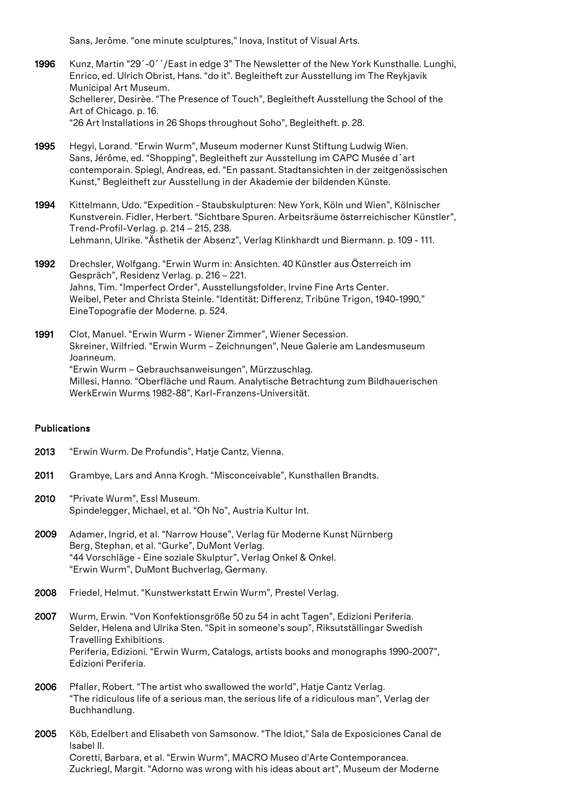Sans, Jerôme. "one minute sculptures," Inova, Institut of Visual Arts.

- 1996 Kunz, Martin "29´-0´´/East in edge 3" The Newsletter of the New York Kunsthalle. Lunghi, Enrico, ed. Ulrich Obrist, Hans. "do it". Begleitheft zur Ausstellung im The Reykjavik Municipal Art Museum. Schellerer, Desirèe. "The Presence of Touch", Begleitheft Ausstellung the School of the Art of Chicago. p. 16. "26 Art Installations in 26 Shops throughout Soho", Begleitheft. p. 28.
- 1995 Hegyi, Lorand. "Erwin Wurm", Museum moderner Kunst Stiftung Ludwig Wien. Sans, Jérôme, ed. "Shopping", Begleitheft zur Ausstellung im CAPC Musée d´art contemporain. Spiegl, Andreas, ed. "En passant. Stadtansichten in der zeitgenössischen Kunst," Begleitheft zur Ausstellung in der Akademie der bildenden Künste.
- 1994 Kittelmann, Udo. "Expedition Staubskulpturen: New York, Köln und Wien", Kölnischer Kunstverein. Fidler, Herbert. "Sichtbare Spuren. Arbeitsräume österreichischer Künstler", Trend-Profil-Verlag. p. 214 – 215, 238. Lehmann, Ulrike. "Ästhetik der Absenz", Verlag Klinkhardt und Biermann. p. 109 - 111.
- 1992 Drechsler, Wolfgang. "Erwin Wurm in: Ansichten. 40 Künstler aus Österreich im Gespräch", Residenz Verlag. p. 216 – 221. Jahns, Tim. "Imperfect Order", Ausstellungsfolder, Irvine Fine Arts Center. Weibel, Peter and Christa Steinle. "Identität: Differenz, Tribüne Trigon, 1940-1990," EineTopografie der Moderne. p. 524.
- 1991 Clot, Manuel. "Erwin Wurm Wiener Zimmer", Wiener Secession. Skreiner, Wilfried. "Erwin Wurm – Zeichnungen", Neue Galerie am Landesmuseum Joanneum. "Erwin Wurm – Gebrauchsanweisungen", Mürzzuschlag. Millesi, Hanno. "Oberfläche und Raum. Analytische Betrachtung zum Bildhauerischen WerkErwin Wurms 1982-88", Karl-Franzens-Universität.

#### Publications

- 2013 "Erwin Wurm, De Profundis", Hatie Cantz, Vienna.
- 2011 Grambye, Lars and Anna Krogh. "Misconceivable", Kunsthallen Brandts.
- 2010 "Private Wurm", Essl Museum. Spindelegger, Michael, et al. "Oh No", Austria Kultur Int.
- 2009 Adamer, Ingrid, et al. "Narrow House", Verlag für Moderne Kunst Nürnberg Berg, Stephan, et al. "Gurke", DuMont Verlag. "44 Vorschläge - Eine soziale Skulptur", Verlag Onkel & Onkel. "Erwin Wurm", DuMont Buchverlag, Germany.
- 2008 Friedel, Helmut. "Kunstwerkstatt Erwin Wurm", Prestel Verlag.
- 2007 Wurm, Erwin. "Von Konfektionsgröße 50 zu 54 in acht Tagen", Edizioni Periferia. Selder, Helena and Ulrika Sten. "Spit in someone's soup", Riksutställingar Swedish Travelling Exhibitions. Periferia, Edizioni. "Erwin Wurm, Catalogs, artists books and monographs 1990-2007", Edizioni Periferia.
- 2006 Pfaller, Robert. "The artist who swallowed the world", Hatje Cantz Verlag. "The ridiculous life of a serious man, the serious life of a ridiculous man", Verlag der Buchhandlung.
- 2005 Köb, Edelbert and Elisabeth von Samsonow. "The Idiot," Sala de Exposiciones Canal de Isabel II. Coretti, Barbara, et al. "Erwin Wurm", MACRO Museo d'Arte Contemporancea. Zuckriegl, Margit. "Adorno was wrong with his ideas about art", Museum der Moderne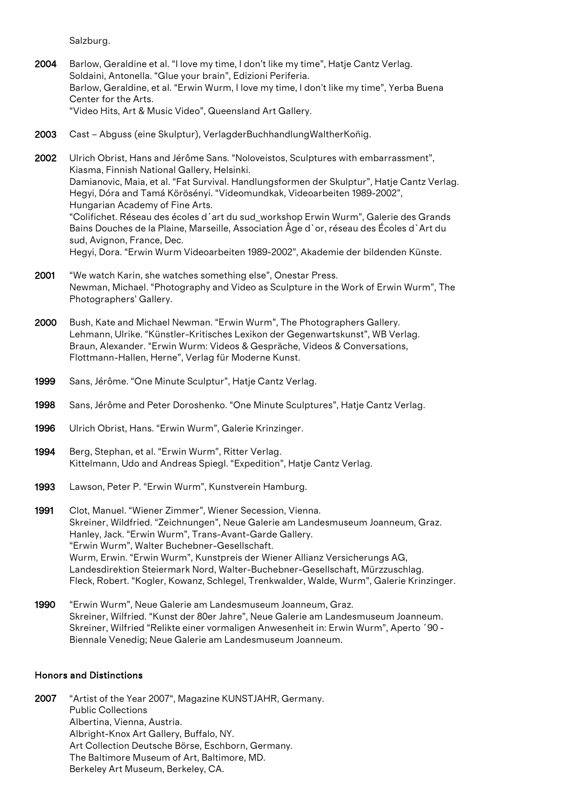Salzburg.

- 2004 Barlow, Geraldine et al. "I love my time, I don't like my time", Hatje Cantz Verlag. Soldaini, Antonella. "Glue your brain", Edizioni Periferia. Barlow, Geraldine, et al. "Erwin Wurm, I love my time, I don't like my time", Yerba Buena Center for the Arts. "Video Hits, Art & Music Video", Queensland Art Gallery.
- 2003 Cast Abguss (eine Skulptur), VerlagderBuchhandlungWaltherKonig.
- 2002 Ulrich Obrist, Hans and Jérôme Sans. "Noloveistos, Sculptures with embarrassment", Kiasma, Finnish National Gallery, Helsinki. Damianovic, Maia, et al. "Fat Survival. Handlungsformen der Skulptur", Hatje Cantz Verlag. Hegyi, Dóra and Tamá Körösényi. "Videomundkak, Videoarbeiten 1989-2002", Hungarian Academy of Fine Arts. "Colifichet. Réseau des écoles d´art du sud\_workshop Erwin Wurm", Galerie des Grands Bains Douches de la Plaine, Marseille, Association Âge d`or, réseau des Écoles d`Art du sud, Avignon, France, Dec. Hegyi, Dora. "Erwin Wurm Videoarbeiten 1989-2002", Akademie der bildenden Künste.
- 2001 "We watch Karin, she watches something else", Onestar Press. Newman, Michael. "Photography and Video as Sculpture in the Work of Erwin Wurm", The Photographers' Gallery.
- 2000 Bush, Kate and Michael Newman. "Erwin Wurm", The Photographers Gallery. Lehmann, Ulrike. "Künstler-Kritisches Lexikon der Gegenwartskunst", WB Verlag. Braun, Alexander. "Erwin Wurm: Videos & Gespräche, Videos & Conversations, Flottmann-Hallen, Herne", Verlag für Moderne Kunst.
- 1999 Sans, Jérôme. "One Minute Sculptur", Hatje Cantz Verlag.
- 1998 Sans, Jérôme and Peter Doroshenko. "One Minute Sculptures", Hatje Cantz Verlag.
- 1996 Ulrich Obrist, Hans. "Erwin Wurm", Galerie Krinzinger.
- 1994 Berg, Stephan, et al. "Erwin Wurm", Ritter Verlag. Kittelmann, Udo and Andreas Spiegl. "Expedition", Hatje Cantz Verlag.
- 1993 Lawson, Peter P. "Erwin Wurm", Kunstverein Hamburg.
- 1991 Clot, Manuel. "Wiener Zimmer", Wiener Secession, Vienna. Skreiner, Wildfried. "Zeichnungen", Neue Galerie am Landesmuseum Joanneum, Graz. Hanley, Jack. "Erwin Wurm", Trans-Avant-Garde Gallery. "Erwin Wurm", Walter Buchebner-Gesellschaft. Wurm, Erwin. "Erwin Wurm", Kunstpreis der Wiener Allianz Versicherungs AG, Landesdirektion Steiermark Nord, Walter-Buchebner-Gesellschaft, Mürzzuschlag. Fleck, Robert. "Kogler, Kowanz, Schlegel, Trenkwalder, Walde, Wurm", Galerie Krinzinger.
- 1990 "Erwin Wurm", Neue Galerie am Landesmuseum Joanneum, Graz. Skreiner, Wilfried. "Kunst der 80er Jahre", Neue Galerie am Landesmuseum Joanneum. Skreiner, Wilfried "Relikte einer vormaligen Anwesenheit in: Erwin Wurm", Aperto ´90 - Biennale Venedig; Neue Galerie am Landesmuseum Joanneum.

# Honors and Distinctions

2007 "Artist of the Year 2007", Magazine KUNSTJAHR, Germany. Public Collections Albertina, Vienna, Austria. Albright-Knox Art Gallery, Buffalo, NY. Art Collection Deutsche Börse, Eschborn, Germany. The Baltimore Museum of Art, Baltimore, MD. Berkeley Art Museum, Berkeley, CA.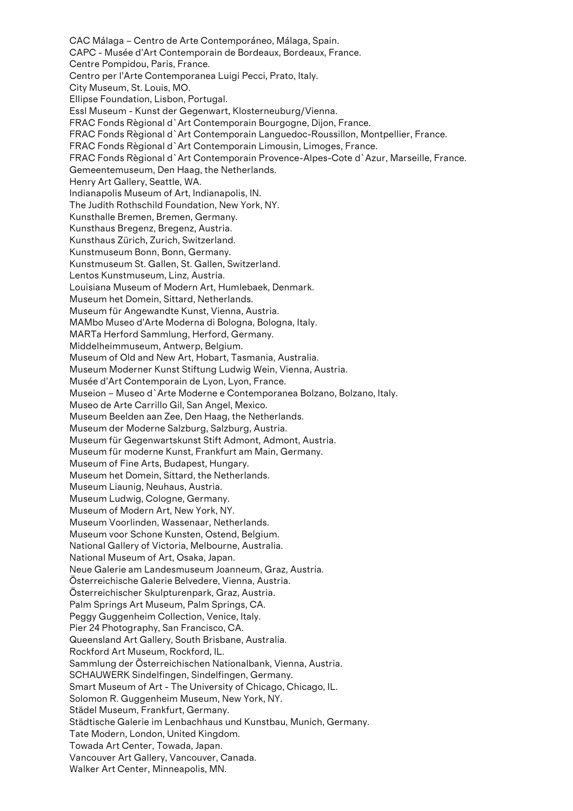CAC Málaga – Centro de Arte Contemporáneo, Málaga, Spain. CAPC - Musée d'Art Contemporain de Bordeaux, Bordeaux, France. Centre Pompidou, Paris, France. Centro per l'Arte Contemporanea Luigi Pecci, Prato, Italy. City Museum, St. Louis, MO. Ellipse Foundation, Lisbon, Portugal. Essl Museum - Kunst der Gegenwart, Klosterneuburg/Vienna. FRAC Fonds Règional d`Art Contemporain Bourgogne, Dijon, France. FRAC Fonds Règional d`Art Contemporain Languedoc-Roussillon, Montpellier, France. FRAC Fonds Règional d`Art Contemporain Limousin, Limoges, France. FRAC Fonds Règional d`Art Contemporain Provence-Alpes-Cote d`Azur, Marseille, France. Gemeentemuseum, Den Haag, the Netherlands. Henry Art Gallery, Seattle, WA. Indianapolis Museum of Art, Indianapolis, IN. The Judith Rothschild Foundation, New York, NY. Kunsthalle Bremen, Bremen, Germany. Kunsthaus Bregenz, Bregenz, Austria. Kunsthaus Zürich, Zurich, Switzerland. Kunstmuseum Bonn, Bonn, Germany. Kunstmuseum St. Gallen, St. Gallen, Switzerland. Lentos Kunstmuseum, Linz, Austria. Louisiana Museum of Modern Art, Humlebaek, Denmark. Museum het Domein, Sittard, Netherlands. Museum für Angewandte Kunst, Vienna, Austria. MAMbo Museo d'Arte Moderna di Bologna, Bologna, Italy. MARTa Herford Sammlung, Herford, Germany. Middelheimmuseum, Antwerp, Belgium. Museum of Old and New Art, Hobart, Tasmania, Australia. Museum Moderner Kunst Stiftung Ludwig Wein, Vienna, Austria. Musée d'Art Contemporain de Lyon, Lyon, France. Museion – Museo d`Arte Moderne e Contemporanea Bolzano, Bolzano, Italy. Museo de Arte Carrillo Gil, San Angel, Mexico. Museum Beelden aan Zee, Den Haag, the Netherlands. Museum der Moderne Salzburg, Salzburg, Austria. Museum für Gegenwartskunst Stift Admont, Admont, Austria. Museum für moderne Kunst, Frankfurt am Main, Germany. Museum of Fine Arts, Budapest, Hungary. Museum het Domein, Sittard, the Netherlands. Museum Liaunig, Neuhaus, Austria. Museum Ludwig, Cologne, Germany. Museum of Modern Art, New York, NY. Museum Voorlinden, Wassenaar, Netherlands. Museum voor Schone Kunsten, Ostend, Belgium. National Gallery of Victoria, Melbourne, Australia. National Museum of Art, Osaka, Japan. Neue Galerie am Landesmuseum Joanneum, Graz, Austria. Österreichische Galerie Belvedere, Vienna, Austria. Österreichischer Skulpturenpark, Graz, Austria. Palm Springs Art Museum, Palm Springs, CA. Peggy Guggenheim Collection, Venice, Italy. Pier 24 Photography, San Francisco, CA. Queensland Art Gallery, South Brisbane, Australia. Rockford Art Museum, Rockford, IL. Sammlung der Österreichischen Nationalbank, Vienna, Austria. SCHAUWERK Sindelfingen, Sindelfingen, Germany. Smart Museum of Art - The University of Chicago, Chicago, IL. Solomon R. Guggenheim Museum, New York, NY. Städel Museum, Frankfurt, Germany. Städtische Galerie im Lenbachhaus und Kunstbau, Munich, Germany. Tate Modern, London, United Kingdom. Towada Art Center, Towada, Japan. Vancouver Art Gallery, Vancouver, Canada. Walker Art Center, Minneapolis, MN.